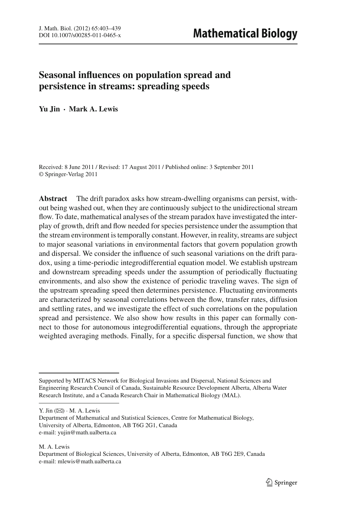# **Seasonal influences on population spread and persistence in streams: spreading speeds**

**Yu Jin · Mark A. Lewis**

Received: 8 June 2011 / Revised: 17 August 2011 / Published online: 3 September 2011 © Springer-Verlag 2011

**Abstract** The drift paradox asks how stream-dwelling organisms can persist, without being washed out, when they are continuously subject to the unidirectional stream flow. To date, mathematical analyses of the stream paradox have investigated the interplay of growth, drift and flow needed for species persistence under the assumption that the stream environment is temporally constant. However, in reality, streams are subject to major seasonal variations in environmental factors that govern population growth and dispersal. We consider the influence of such seasonal variations on the drift paradox, using a time-periodic integrodifferential equation model. We establish upstream and downstream spreading speeds under the assumption of periodically fluctuating environments, and also show the existence of periodic traveling waves. The sign of the upstream spreading speed then determines persistence. Fluctuating environments are characterized by seasonal correlations between the flow, transfer rates, diffusion and settling rates, and we investigate the effect of such correlations on the population spread and persistence. We also show how results in this paper can formally connect to those for autonomous integrodifferential equations, through the appropriate weighted averaging methods. Finally, for a specific dispersal function, we show that

Y. Jin  $(\boxtimes) \cdot M$ . A. Lewis

M. A. Lewis

Supported by MITACS Network for Biological Invasions and Dispersal, National Sciences and Engineering Research Council of Canada, Sustainable Resource Development Alberta, Alberta Water Research Institute, and a Canada Research Chair in Mathematical Biology (MAL).

Department of Mathematical and Statistical Sciences, Centre for Mathematical Biology, University of Alberta, Edmonton, AB T6G 2G1, Canada e-mail: yujin@math.ualberta.ca

Department of Biological Sciences, University of Alberta, Edmonton, AB T6G 2E9, Canada e-mail: mlewis@math.ualberta.ca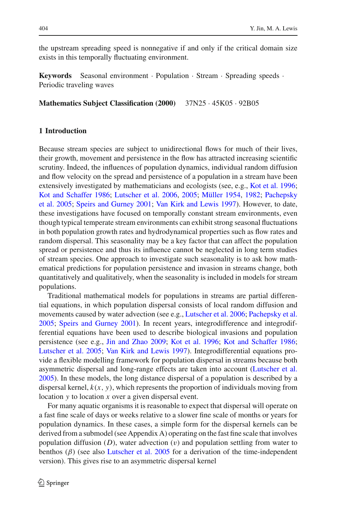the upstream spreading speed is nonnegative if and only if the critical domain size exists in this temporally fluctuating environment.

**Keywords** Seasonal environment · Population · Stream · Spreading speeds · Periodic traveling waves

**Mathematics Subject Classification (2000)** 37N25 · 45K05 · 92B05

# **1 Introduction**

Because stream species are subject to unidirectional flows for much of their lives, their growth, movement and persistence in the flow has attracted increasing scientific scrutiny. Indeed, the influences of population dynamics, individual random diffusion and flow velocity on the spread and persistence of a population in a stream have been extensively investigated by mathematicians and ecologists (see, e.g., [Kot et al. 1996](#page-35-0); [Kot and Schaffer 1986](#page-35-1); [Lutscher et al. 2006](#page-36-0)[,](#page-36-4) [2005](#page-36-1); [Müller 1954,](#page-36-2) [1982;](#page-36-3) Pachepsky et al. [2005;](#page-36-4) [Speirs and Gurney 2001;](#page-36-5) [Van Kirk and Lewis 1997](#page-36-6)). However, to date, these investigations have focused on temporally constant stream environments, even though typical temperate stream environments can exhibit strong seasonal fluctuations in both population growth rates and hydrodynamical properties such as flow rates and random dispersal. This seasonality may be a key factor that can affect the population spread or persistence and thus its influence cannot be neglected in long term studies of stream species. One approach to investigate such seasonality is to ask how mathematical predictions for population persistence and invasion in streams change, both quantitatively and qualitatively, when the seasonality is included in models for stream populations.

Traditional mathematical models for populations in streams are partial differential equations, in which population dispersal consists of local random diffusion and movements caused by water advection (see e.g., [Lutscher et al. 2006;](#page-36-0) [Pachepsky et al.](#page-36-4) [2005;](#page-36-4) [Speirs and Gurney 2001\)](#page-36-5). In recent years, integrodifference and integrodifferential equations have been used to describe biological invasions and population persistence (see e.g., [Jin and Zhao 2009](#page-35-2); [Kot et al. 1996](#page-35-0); [Kot and Schaffer 1986](#page-35-1); [Lutscher et al. 2005](#page-36-1); [Van Kirk and Lewis 1997](#page-36-6)). Integrodifferential equations provide a flexible modelling framework for population dispersal in streams because both asymmetric dispersal and long-range effects are taken into account [\(Lutscher et al.](#page-36-1) [2005\)](#page-36-1). In these models, the long distance dispersal of a population is described by a dispersal kernel,  $k(x, y)$ , which represents the proportion of individuals moving from location *y* to location *x* over a given dispersal event.

For many aquatic organisms it is reasonable to expect that dispersal will operate on a fast fine scale of days or weeks relative to a slower fine scale of months or years for population dynamics. In these cases, a simple form for the dispersal kernels can be derived from a submodel (see Appendix A) operating on the fast fine scale that involves population diffusion  $(D)$ , water advection  $(v)$  and population settling from water to benthos  $(\beta)$  (see also [Lutscher et al. 2005](#page-36-1) for a derivation of the time-independent version). This gives rise to an asymmetric dispersal kernel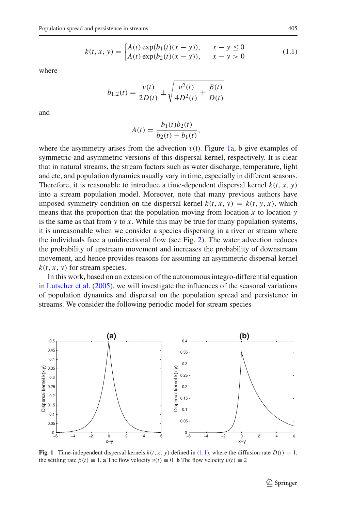$$
k(t, x, y) = \begin{cases} A(t) \exp(b_1(t)(x - y)), & x - y \le 0 \\ A(t) \exp(b_2(t)(x - y)), & x - y > 0 \end{cases}
$$
(1.1)

<span id="page-2-1"></span>where

$$
b_{1,2}(t) = \frac{v(t)}{2D(t)} \pm \sqrt{\frac{v^2(t)}{4D^2(t)} + \frac{\beta(t)}{D(t)}}
$$

and

$$
A(t) = \frac{b_1(t)b_2(t)}{b_2(t) - b_1(t)},
$$

where the asymmetry arises from the advection  $v(t)$ . Figure [1a](#page-2-0), b give examples of symmetric and asymmetric versions of this dispersal kernel, respectively. It is clear that in natural streams, the stream factors such as water discharge, temperature, light and etc, and population dynamics usually vary in time, especially in different seasons. Therefore, it is reasonable to introduce a time-dependent dispersal kernel  $k(t, x, y)$ into a stream population model. Moreover, note that many previous authors have imposed symmetry condition on the dispersal kernel  $k(t, x, y) = k(t, y, x)$ , which means that the proportion that the population moving from location *x* to location *y* is the same as that from *y* to *x*. While this may be true for many population systems, it is unreasonable when we consider a species dispersing in a river or stream where the individuals face a unidirectional flow (see Fig. [2\)](#page-3-0). The water advection reduces the probability of upstream movement and increases the probability of downstream movement, and hence provides reasons for assuming an asymmetric dispersal kernel  $k(t, x, y)$  for stream species.

In this work, based on an extension of the autonomous integro-differential equation in [Lutscher et al.](#page-36-1) [\(2005\)](#page-36-1), we will investigate the influences of the seasonal variations of population dynamics and dispersal on the population spread and persistence in streams. We consider the following periodic model for stream species



<span id="page-2-0"></span>**Fig. 1** Time-independent dispersal kernels  $k(t, x, y)$  defined in [\(1.1\)](#page-2-1), where the diffusion rate  $D(t) \equiv 1$ , the settling rate  $\beta(t) \equiv 1$ . **a** The flow velocity  $v(t) \equiv 0$ . **b** The flow velocity  $v(t) \equiv 2$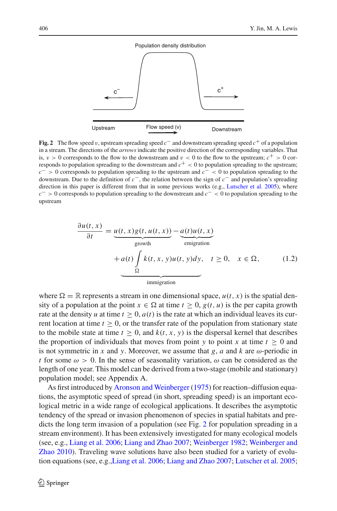

<span id="page-3-0"></span>**Fig. 2** The flow speed v, upstream spreading speed  $c^-$  and downstream spreading speed  $c^+$  of a population in a stream. The directions of the *arrows* indicate the positive direction of the corresponding variables. That is,  $v > 0$  corresponds to the flow to the downstream and  $v < 0$  to the flow to the upstream;  $c^+ > 0$  corresponds to population spreading to the downstream and  $c^+ < 0$  to population spreading to the upstream; *c*<sup>−</sup> > 0 corresponds to population spreading to the upstream and *c*<sup>−</sup> < 0 to population spreading to the downstream. Due to the definition of *c*−, the relation between the sign of *c*<sup>−</sup> and population's spreading direction in this paper is different from that in some previous works (e.g., [Lutscher et al. 2005](#page-36-1)), where *c*<sup>−</sup> > 0 corresponds to population spreading to the downstream and *c*<sup>−</sup> < 0 to population spreading to the upstream

<span id="page-3-1"></span>
$$
\frac{\partial u(t, x)}{\partial t} = \underbrace{u(t, x)g(t, u(t, x))}_{\text{growth}} - \underbrace{a(t)u(t, x)}_{\text{emigration}} + a(t) \underbrace{\int_{\Omega} k(t, x, y)u(t, y)dy}_{\text{im migration}}, \quad t \ge 0, \quad x \in \Omega,
$$
\n(1.2)

where  $\Omega = \mathbb{R}$  represents a stream in one dimensional space,  $u(t, x)$  is the spatial density of a population at the point  $x \in \Omega$  at time  $t \geq 0$ ,  $g(t, u)$  is the per capita growth rate at the density *u* at time  $t > 0$ ,  $a(t)$  is the rate at which an individual leaves its current location at time  $t \geq 0$ , or the transfer rate of the population from stationary state to the mobile state at time  $t \geq 0$ , and  $k(t, x, y)$  is the dispersal kernel that describes the proportion of individuals that moves from point *y* to point *x* at time  $t > 0$  and is not symmetric in *x* and *y*. Moreover, we assume that *g*, *a* and *k* are  $\omega$ -periodic in *t* for some  $\omega > 0$ . In the sense of seasonality variation,  $\omega$  can be considered as the length of one year. This model can be derived from a two-stage (mobile and stationary) population model; see Appendix A.

As first introduced by [Aronson and Weinberger](#page-35-3) [\(1975](#page-35-3)) for reaction–diffusion equations, the asymptotic speed of spread (in short, spreading speed) is an important ecological metric in a wide range of ecological applications. It describes the asymptotic tendency of the spread or invasion phenomenon of species in spatial habitats and predicts the long term invasion of a population (see Fig. [2](#page-3-0) for population spreading in a stream environment). It has been extensively investigated for many ecological models (see, e.g., [Liang et al. 2006](#page-35-4); [Liang and Zhao 2007](#page-35-5)[;](#page-36-8) [Weinberger 1982](#page-36-7); Weinberger and Zhao [2010](#page-36-8)). Traveling wave solutions have also been studied for a variety of evolution equations (see, e.g.[,Liang et al. 2006;](#page-35-4) [Liang and Zhao 2007](#page-35-5); [Lutscher et al. 2005](#page-36-1);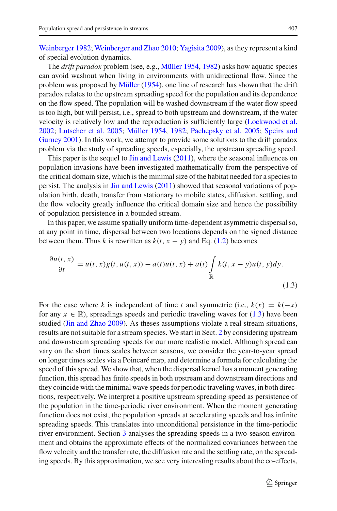[Weinberger 1982;](#page-36-7) [Weinberger and Zhao 2010;](#page-36-8) [Yagisita 2009\)](#page-36-9), as they represent a kind of special evolution dynamics.

The *drift paradox* problem (see, e.g., [Müller 1954](#page-36-2), [1982](#page-36-3)) asks how aquatic species can avoid washout when living in environments with unidirectional flow. Since the problem was proposed by [Müller](#page-36-2) [\(1954\)](#page-36-2), one line of research has shown that the drift paradox relates to the upstream spreading speed for the population and its dependence on the flow speed. The population will be washed downstream if the water flow speed is too high, but will persist, i.e., spread to both upstream and downstream, if the water velocity is relatively low and the reproduction is sufficiently large [\(Lockwood et al.](#page-35-6) [2002;](#page-35-6) [Lutscher et al. 2005](#page-36-1); [Müller 1954](#page-36-2), [1982;](#page-36-3) [Pachepsky et al. 2005](#page-36-4)[;](#page-36-5) Speirs and Gurney [2001\)](#page-36-5). In this work, we attempt to provide some solutions to the drift paradox problem via the study of spreading speeds, especially, the upstream spreading speed.

This paper is the sequel to [Jin and Lewis](#page-35-7) [\(2011](#page-35-7)), where the seasonal influences on population invasions have been investigated mathematically from the perspective of the critical domain size, which is the minimal size of the habitat needed for a species to persist. The analysis in [Jin and Lewis](#page-35-7) [\(2011](#page-35-7)) showed that seasonal variations of population birth, death, transfer from stationary to mobile states, diffusion, settling, and the flow velocity greatly influence the critical domain size and hence the possibility of population persistence in a bounded stream.

In this paper, we assume spatially uniform time-dependent asymmetric dispersal so, at any point in time, dispersal between two locations depends on the signed distance between them. Thus *k* is rewritten as  $k(t, x - y)$  and Eq. [\(1.2\)](#page-3-1) becomes

<span id="page-4-0"></span>
$$
\frac{\partial u(t,x)}{\partial t} = u(t,x)g(t,u(t,x)) - a(t)u(t,x) + a(t)\int_{\mathbb{R}} k(t,x-y)u(t,y)dy.
$$
\n(1.3)

For the case where *k* is independent of time *t* and symmetric (i.e.,  $k(x) = k(-x)$ for any  $x \in \mathbb{R}$ ), spreadings speeds and periodic traveling waves for [\(1.3\)](#page-4-0) have been studied [\(Jin and Zhao 2009\)](#page-35-2). As theses assumptions violate a real stream situations, results are not suitable for a stream species. We start in Sect. [2](#page-5-0) by considering upstream and downstream spreading speeds for our more realistic model. Although spread can vary on the short times scales between seasons, we consider the year-to-year spread on longer times scales via a Poincaré map, and determine a formula for calculating the speed of this spread. We show that, when the dispersal kernel has a moment generating function, this spread has finite speeds in both upstream and downstream directions and they coincide with the minimal wave speeds for periodic traveling waves, in both directions, respectively. We interpret a positive upstream spreading speed as persistence of the population in the time-periodic river environment. When the moment generating function does not exist, the population spreads at accelerating speeds and has infinite spreading speeds. This translates into unconditional persistence in the time-periodic river environment. Section [3](#page-12-0) analyses the spreading speeds in a two-season environment and obtains the approximate effects of the normalized covariances between the flow velocity and the transfer rate, the diffusion rate and the settling rate, on the spreading speeds. By this approximation, we see very interesting results about the co-effects,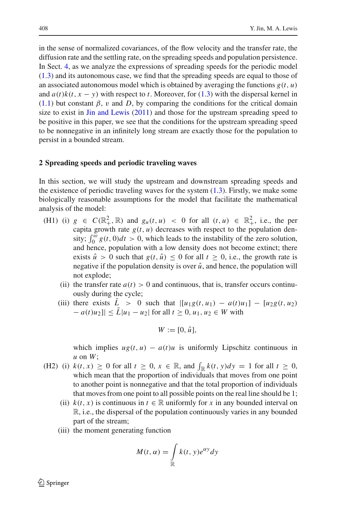in the sense of normalized covariances, of the flow velocity and the transfer rate, the diffusion rate and the settling rate, on the spreading speeds and population persistence. In Sect. [4,](#page-22-0) as we analyze the expressions of spreading speeds for the periodic model [\(1.3\)](#page-4-0) and its autonomous case, we find that the spreading speeds are equal to those of an associated autonomous model which is obtained by averaging the functions  $g(t, u)$ and  $a(t)k(t, x - y)$  with respect to *t*. Moreover, for [\(1.3\)](#page-4-0) with the dispersal kernel in  $(1.1)$  but constant  $\beta$ , v and D, by comparing the conditions for the critical domain size to exist in  $\text{Jim}$  and Lewis [\(2011](#page-35-7)) and those for the upstream spreading speed to be positive in this paper, we see that the conditions for the upstream spreading speed to be nonnegative in an infinitely long stream are exactly those for the population to persist in a bounded stream.

#### <span id="page-5-0"></span>**2 Spreading speeds and periodic traveling waves**

In this section, we will study the upstream and downstream spreading speeds and the existence of periodic traveling waves for the system  $(1.3)$ . Firstly, we make some biologically reasonable assumptions for the model that facilitate the mathematical analysis of the model:

- (H1) (i)  $g \in C(\mathbb{R}^2_+, \mathbb{R})$  and  $g_u(t, u) < 0$  for all  $(t, u) \in \mathbb{R}^2_+$ , i.e., the per capita growth rate  $g(t, u)$  decreases with respect to the population density;  $\int_0^{\omega} g(t, 0) dt > 0$ , which leads to the instability of the zero solution, and hence, population with a low density does not become extinct; there exists  $\hat{u} > 0$  such that  $g(t, \hat{u}) \leq 0$  for all  $t \geq 0$ , i.e., the growth rate is negative if the population density is over  $\hat{u}$ , and hence, the population will not explode;
	- (ii) the transfer rate  $a(t) > 0$  and continuous, that is, transfer occurs continuously during the cycle;
	- (iii) there exists  $\bar{L} > 0$  such that  $| [u_{1}g(t, u_{1}) a(t)u_{1}] [u_{2}g(t, u_{2})]$  $-a(t)u_2$ ||  $\leq L |u_1 - u_2|$  for all  $t \geq 0, u_1, u_2 \in W$  with

$$
W := [0, \hat{u}],
$$

which implies  $ug(t, u) - a(t)u$  is uniformly Lipschitz continuous in *u* on *W*;

- (H2) (i)  $k(t, x) \ge 0$  for all  $t \ge 0$ ,  $x \in \mathbb{R}$ , and  $\int_{\mathbb{R}} k(t, y) dy = 1$  for all  $t \ge 0$ , which mean that the proportion of individuals that moves from one point to another point is nonnegative and that the total proportion of individuals that moves from one point to all possible points on the real line should be 1;
	- (ii)  $k(t, x)$  is continuous in  $t \in \mathbb{R}$  uniformly for x in any bounded interval on R, i.e., the dispersal of the population continuously varies in any bounded part of the stream;
	- (iii) the moment generating function

$$
M(t, \alpha) = \int_{\mathbb{R}} k(t, y) e^{\alpha y} dy
$$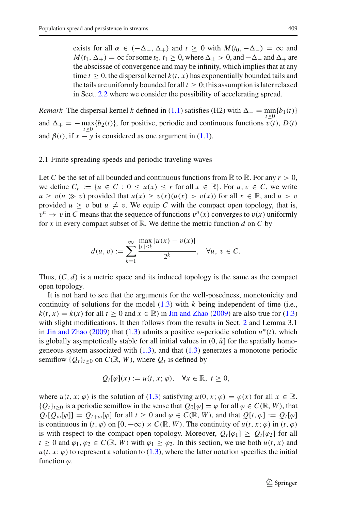exists for all  $\alpha \in (-\Delta_-, \Delta_+)$  and  $t \geq 0$  with  $M(t_0, -\Delta_-) = \infty$  and  $M(t_1, \Delta_+) = \infty$  for some  $t_0, t_1 \geq 0$ , where  $\Delta_+ > 0$ , and  $-\Delta_-$  and  $\Delta_+$  are the abscissae of convergence and may be infinity, which implies that at any time  $t > 0$ , the dispersal kernel  $k(t, x)$  has exponentially bounded tails and the tails are uniformly bounded for all  $t \geq 0$ ; this assumption is later relaxed in Sect. [2.2](#page-9-0) where we consider the possibility of accelerating spread.

*Remark* The dispersal kernel *k* defined in [\(1.1\)](#page-2-1) satisfies (H2) with  $\Delta = \min_{\lambda \geq 0} \{b_1(t)\}$ and  $\Delta_+ = -\max_{t\geq 0} \{b_2(t)\}\text{, for positive, periodic and continuous functions } v(t), D(t)$ and  $\beta(t)$ , if  $x - y$  is considered as one argument in [\(1.1\)](#page-2-1).

#### 2.1 Finite spreading speeds and periodic traveling waves

Let C be the set of all bounded and continuous functions from  $\mathbb R$  to  $\mathbb R$ . For any  $r > 0$ , we define  $C_r := \{u \in C : 0 \le u(x) \le r \text{ for all } x \in \mathbb{R}\}$ . For  $u, v \in C$ , we write  $u \ge v(u \gg v)$  provided that  $u(x) \ge v(x)(u(x) > v(x))$  for all  $x \in \mathbb{R}$ , and  $u > v$ provided  $u \geq v$  but  $u \neq v$ . We equip C with the compact open topology, that is,  $v^n \to v$  in *C* means that the sequence of functions  $v^n(x)$  converges to  $v(x)$  uniformly for *x* in every compact subset of  $\mathbb{R}$ . We define the metric function *d* on *C* by

$$
d(u, v) := \sum_{k=1}^{\infty} \frac{\max_{|x| \le k} |u(x) - v(x)|}{2^k}, \quad \forall u, v \in C.
$$

Thus,  $(C, d)$  is a metric space and its induced topology is the same as the compact open topology.

It is not hard to see that the arguments for the well-posedness, monotonicity and continuity of solutions for the model [\(1.3\)](#page-4-0) with *k* being independent of time (i.e.,  $k(t, x) = k(x)$  for all  $t > 0$  and  $x \in \mathbb{R}$ ) in [Jin and Zhao](#page-35-2) [\(2009\)](#page-35-2) are also true for [\(1.3\)](#page-4-0) with slight modifications. It then follows from the results in Sect. [2](#page-5-0) and Lemma 3.1 in [Jin and Zhao](#page-35-2) [\(2009\)](#page-35-2) that [\(1.3\)](#page-4-0) admits a positive  $\omega$ -periodic solution  $u^*(t)$ , which is globally asymptotically stable for all initial values in  $(0, \hat{u})$  for the spatially homogeneous system associated with  $(1.3)$ , and that  $(1.3)$  generates a monotone periodic semiflow  ${Q_t}_{t\ge0}$  on  $C(\mathbb{R}, W)$ , where  $Q_t$  is defined by

$$
Q_t[\varphi](x) := u(t, x; \varphi), \quad \forall x \in \mathbb{R}, \ t \ge 0,
$$

where  $u(t, x; \varphi)$  is the solution of [\(1.3\)](#page-4-0) satisfying  $u(0, x; \varphi) = \varphi(x)$  for all  $x \in \mathbb{R}$ .  ${Q_t}_{t\geq0}$  is a periodic semiflow in the sense that  $Q_0[\varphi]=\varphi$  for all  $\varphi\in C(\mathbb{R}, W)$ , that  $Q_t[Q_{\omega}[\varphi]] = Q_{t+\omega}[\varphi]$  for all  $t \geq 0$  and  $\varphi \in C(\mathbb{R}, W)$ , and that  $Q[t, \varphi] := Q_t[\varphi]$ is continuous in  $(t, \varphi)$  on  $[0, +\infty) \times C(\mathbb{R}, W)$ . The continuity of  $u(t, x; \varphi)$  in  $(t, \varphi)$ is with respect to the compact open topology. Moreover,  $Q_t[\varphi_1] \geq Q_t[\varphi_2]$  for all  $t \geq 0$  and  $\varphi_1, \varphi_2 \in C(\mathbb{R}, W)$  with  $\varphi_1 \geq \varphi_2$ . In this section, we use both  $u(t, x)$  and  $u(t, x; \varphi)$  to represent a solution to [\(1.3\)](#page-4-0), where the latter notation specifies the initial function  $\varphi$ .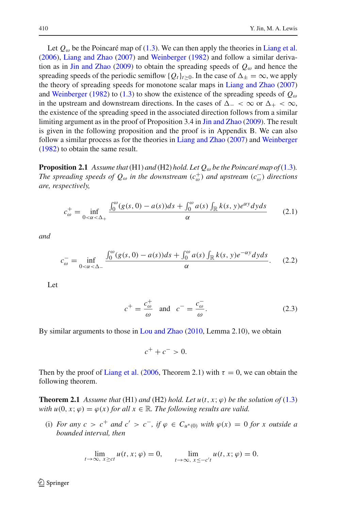Let  $Q_{\omega}$  be the Poincaré map of [\(1.3\)](#page-4-0). We can then apply the theories in [Liang et al.](#page-35-4) [\(2006\)](#page-35-4), [Liang and Zhao](#page-35-5) [\(2007](#page-35-5)) and [Weinberger](#page-36-7) [\(1982](#page-36-7)) and follow a similar deriva-tion as in [Jin and Zhao](#page-35-2) [\(2009\)](#page-35-2) to obtain the spreading speeds of  $Q_{\omega}$  and hence the spreading speeds of the periodic semiflow { $Q_t$ }<sub>t</sub> $>0$ . In the case of  $\Delta_+ = \infty$ , we apply the theory of spreading speeds for monotone scalar maps in [Liang and Zhao](#page-35-5) [\(2007\)](#page-35-5) and [Weinberger](#page-36-7) [\(1982\)](#page-36-7) to [\(1.3\)](#page-4-0) to show the existence of the spreading speeds of  $Q_{\omega}$ in the upstream and downstream directions. In the cases of  $\Delta_- < \infty$  or  $\Delta_+ < \infty$ , the existence of the spreading speed in the associated direction follows from a similar limiting argument as in the proof of Proposition 3.4 in [Jin and Zhao](#page-35-2) [\(2009](#page-35-2)). The result is given in the following proposition and the proof is in Appendix B. We can also follow a similar process as for the theories in [Liang and Zhao](#page-35-5) [\(2007\)](#page-35-5) and [Weinberger](#page-36-7) [\(1982\)](#page-36-7) to obtain the same result.

<span id="page-7-4"></span>**Proposition 2.1** *Assume that* (H1) *and* (H2) *hold. Let*  $Q_{\omega}$  *be the Poincaré map of* [\(1.3\)](#page-4-0)*. The spreading speeds of*  $Q_{\omega}$  *in the downstream*  $(c_{\omega}^{+})$  *and upstream*  $(c_{\omega}^{-})$  *directions are, respectively,*

$$
c_{\omega}^{+} = \inf_{0 < \alpha < \Delta_{+}} \frac{\int_{0}^{\omega} (g(s, 0) - a(s))ds + \int_{0}^{\omega} a(s) \int_{\mathbb{R}} k(s, y) e^{\alpha y} dy ds}{\alpha} \tag{2.1}
$$

<span id="page-7-3"></span><span id="page-7-1"></span>*and*

$$
c_{\omega}^- = \inf_{0 < \alpha < \Delta_-} \frac{\int_0^{\omega} (g(s, 0) - a(s)) ds + \int_0^{\omega} a(s) \int_{\mathbb{R}} k(s, y) e^{-\alpha y} dy ds}{\alpha}.
$$
 (2.2)

<span id="page-7-2"></span>Let

$$
c^{+} = \frac{c_{\omega}^{+}}{\omega} \quad \text{and} \quad c^{-} = \frac{c_{\omega}^{-}}{\omega}.
$$
 (2.3)

By similar arguments to those in [Lou and Zhao](#page-35-8) [\(2010](#page-35-8), Lemma 2.10), we obtain

 $c^+ + c^- > 0$ .

<span id="page-7-0"></span>Then by the proof of [Liang et al.](#page-35-4) [\(2006,](#page-35-4) Theorem 2.1) with  $\tau = 0$ , we can obtain the following theorem.

**Theorem 2.1** *Assume that* (H1) *and* (H2) *hold. Let*  $u(t, x; \varphi)$  *be the solution of* [\(1.3\)](#page-4-0) *with*  $u(0, x; \varphi) = \varphi(x)$  *for all*  $x \in \mathbb{R}$ *. The following results are valid.* 

(i) *For any*  $c > c^+$  *and*  $c' > c^-$ , if  $\varphi \in C_{u^*(0)}$  *with*  $\varphi(x) = 0$  *for x outside a bounded interval, then*

$$
\lim_{t \to \infty, x \ge ct} u(t, x; \varphi) = 0, \qquad \lim_{t \to \infty, x \le -c't} u(t, x; \varphi) = 0.
$$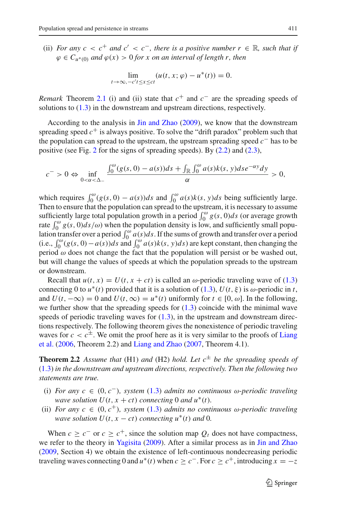(ii) *For any*  $c < c^+$  *and*  $c' < c^-$ *, there is a positive number*  $r \in \mathbb{R}$ *, such that if*  $\varphi \in C_{\mu^*(0)}$  *and*  $\varphi(x) > 0$  *for x on an interval of length r, then* 

$$
\lim_{t\to\infty,-c't\leq x\leq ct}(u(t,x;\varphi)-u^*(t))=0.
$$

*Remark* Theorem [2.1](#page-7-0) (i) and (ii) state that  $c^+$  and  $c^-$  are the spreading speeds of solutions to [\(1.3\)](#page-4-0) in the downstream and upstream directions, respectively.

According to the analysis in [Jin and Zhao](#page-35-2) [\(2009\)](#page-35-2), we know that the downstream spreading speed  $c^+$  is always positive. To solve the "drift paradox" problem such that the population can spread to the upstream, the upstream spreading speed *c*<sup>−</sup> has to be positive (see Fig. [2](#page-3-0) for the signs of spreading speeds). By [\(2.2\)](#page-7-1) and [\(2.3\)](#page-7-2),

$$
c^{-} > 0 \Leftrightarrow \inf_{0 < \alpha < \Delta_{-}} \frac{\int_{0}^{\omega} (g(s, 0) - a(s)) ds + \int_{\mathbb{R}} \int_{0}^{\omega} a(s) k(s, y) ds e^{-\alpha y} dy}{\alpha} > 0,
$$

which requires  $\int_0^{\omega} (g(s, 0) - a(s))ds$  and  $\int_0^{\omega} a(s)k(s, y)ds$  being sufficiently large. Then to ensure that the population can spread to the upstream, it is necessary to assume sufficiently large total population growth in a period  $\int_0^\omega g(s, 0)ds$  (or average growth rate  $\int_0^{\omega} g(s, 0) ds/\omega$ ) when the population density is low, and sufficiently small population transfer over a period  $\int_0^\omega a(s)ds$ . If the sums of growth and transfer over a period (i.e.,  $\int_0^\omega$ (*g*(*s*, 0)−*a*(*s*))*ds* and  $\int_0^\omega$  *a*(*s*)*k*(*s*, *y*)*ds*) are kept constant, then changing the period  $\omega$  does not change the fact that the population will persist or be washed out, but will change the values of speeds at which the population spreads to the upstream or downstream.

Recall that  $u(t, x) = U(t, x + ct)$  is called an  $\omega$ -periodic traveling wave of [\(1.3\)](#page-4-0) connecting 0 to  $u^*(t)$  provided that it is a solution of [\(1.3\)](#page-4-0),  $U(t, \xi)$  is  $\omega$ -periodic in *t*, and  $U(t, -\infty) = 0$  and  $U(t, \infty) = u^*(t)$  uniformly for  $t \in [0, \omega]$ . In the following, we further show that the spreading speeds for  $(1.3)$  coincide with the minimal wave speeds of periodic traveling waves for  $(1.3)$ , in the upstream and downstream directions respectively. The following theorem gives the nonexistence of periodic traveling waves for  $c < c^{\pm}$ [.](#page-35-4) [We](#page-35-4) [omit](#page-35-4) [the](#page-35-4) [proof](#page-35-4) [here](#page-35-4) [as](#page-35-4) [it](#page-35-4) [is](#page-35-4) [very](#page-35-4) [similar](#page-35-4) [to](#page-35-4) the [proofs](#page-35-4) [of](#page-35-4) Liang et al. [\(2006,](#page-35-4) Theorem 2.2) and [Liang and Zhao](#page-35-5) [\(2007](#page-35-5), Theorem 4.1).

**Theorem 2.2** *Assume that* (H1) *and* (H2) *hold. Let*  $c^{\pm}$  *be the spreading speeds of* [\(1.3\)](#page-4-0) *in the downstream and upstream directions, respectively. Then the following two statements are true.*

- (i) *For any c* ∈ (0, *c*−)*, system* [\(1.3\)](#page-4-0) *admits no continuous* ω*-periodic traveling wave solution*  $U(t, x + ct)$  *connecting* 0 *and*  $u^*(t)$ *.*
- (ii) *For any*  $c \in (0, c^+)$ *, system* [\(1.3\)](#page-4-0) *admits no continuous*  $\omega$ -periodic traveling *wave solution*  $U(t, x - ct)$  *connecting*  $u^*(t)$  *and* 0*.*

When  $c \geq c^-$  or  $c \geq c^+$ , since the solution map  $Q_t$  does not have compactness, we refer to the theory in [Yagisita](#page-36-9) [\(2009](#page-36-9)). After a similar process as in [Jin and Zhao](#page-35-2) [\(2009,](#page-35-2) Section 4) we obtain the existence of left-continuous nondecreasing periodic traveling waves connecting 0 and  $u^*(t)$  when  $c \geq c^-$ . For  $c \geq c^+$ , introducing  $x = -z$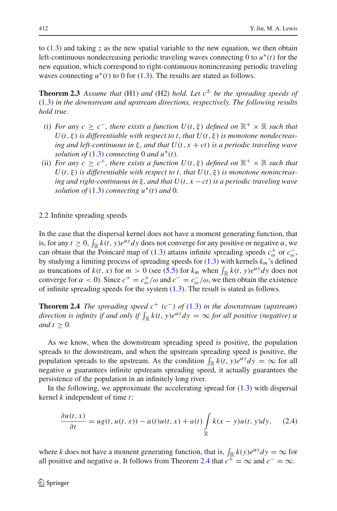to [\(1.3\)](#page-4-0) and taking *z* as the new spatial variable to the new equation, we then obtain left-continuous nondecreasing periodic traveling waves connecting 0 to *u*∗(*t*) for the new equation, which correspond to right-continuous nonincreasing periodic traveling waves connecting  $u^*(t)$  to 0 for [\(1.3\)](#page-4-0). The results are stated as follows.

**Theorem 2.3** *Assume that* (H1) *and* (H2) *hold. Let*  $c^{\pm}$  *be the spreading speeds of* [\(1.3\)](#page-4-0) *in the downstream and upstream directions, respectively. The following results hold true.*

- (i) *For any c* >  $c^-$ , *there exists a function U(t, \\tepseft) defined on*  $\mathbb{R}^+ \times \mathbb{R}$  *such that*  $U(t, \xi)$  *is differentiable with respect to t, that*  $U(t, \xi)$  *is monotone nondecreasing and left-continuous in* ξ *, and that U*(*t*, *x* + *ct*) *is a periodic traveling wave solution of*  $(1.3)$  *connecting* 0 *and*  $u^*(t)$ *.*
- (ii) *For any c*  $\geq c^+$ *, there exists a function U(t, \\times) defined on*  $\mathbb{R}^+ \times \mathbb{R}$  *such that*  $U(t, \xi)$  *is differentiable with respect to t, that*  $U(t, \xi)$  *is monotone nonincreasing and right-continuous in* ξ *, and that U*(*t*, *x* − *ct*) *is a periodic traveling wave solution of*  $(1.3)$  *connecting*  $u^*(t)$  *and* 0*.*

<span id="page-9-0"></span>2.2 Infinite spreading speeds

In the case that the dispersal kernel does not have a moment generating function, that is, for any  $t \geq 0$ ,  $\int_{\mathbb{R}} k(t, y)e^{\alpha y} dy$  does not converge for any positive or negative  $\alpha$ , we can obtain that the Poincaré map of [\(1.3\)](#page-4-0) attains infinite spreading speeds  $c_{\omega}^+$  or  $c_{\omega}^-$ , by studying a limiting process of spreading speeds for [\(1.3\)](#page-4-0) with kernels *km*'s defined as truncations of  $k(t, x)$  for  $m > 0$  (see [\(5.5\)](#page-30-0) for  $k_m$  when  $\int_{\mathbb{R}} k(t, y)e^{\alpha y} dy$  does not converge for  $\alpha < 0$ ). Since  $c^+ = c^+_{\omega}/\omega$  and  $c^- = c^-_{\omega}/\omega$ , we then obtain the existence of infinite spreading speeds for the system  $(1.3)$ . The result is stated as follows.

<span id="page-9-1"></span>**Theorem 2.4** *The spreading speed*  $c^+$  ( $c^-$ ) *of* [\(1.3\)](#page-4-0) *in the downstream* (*upstream*) *direction is infinity if and only if*  $\int_{\mathbb{R}} k(t, y)e^{\alpha y} dy = \infty$  *for all positive (negative)*  $\alpha$ *and*  $t \geq 0$ *.* 

As we know, when the downstream spreading speed is positive, the population spreads to the downstream, and when the upstream spreading speed is positive, the population spreads to the upstream. As the condition  $\int_{\mathbb{R}} k(t, y)e^{\alpha y} dy = \infty$  for all negative  $\alpha$  guarantees infinite upstream spreading speed, it actually guarantees the persistence of the population in an infinitely long river.

In the following, we approximate the accelerating spread for  $(1.3)$  with dispersal kernel *k* independent of time *t*:

$$
\frac{\partial u(t,x)}{\partial t} = ug(t, u(t,x)) - a(t)u(t,x) + a(t)\int_{\mathbb{R}} k(x-y)u(t,y)dy, \quad (2.4)
$$

<span id="page-9-2"></span>where *k* does not have a moment generating function, that is,  $\int_{\mathbb{R}} k(y)e^{\alpha y} dy = \infty$  for all positive and negative  $\alpha$ . It follows from Theorem [2.4](#page-9-1) that  $c^+ = \infty$  and  $c^- = \infty$ .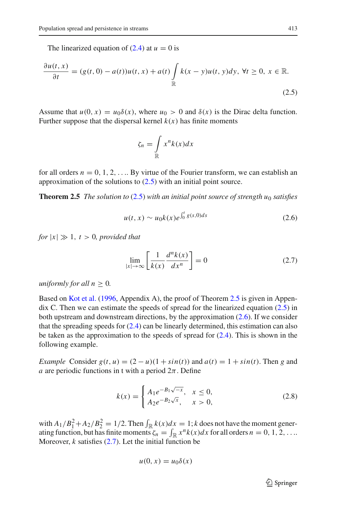The linearized equation of  $(2.4)$  at  $u = 0$  is

<span id="page-10-0"></span>
$$
\frac{\partial u(t,x)}{\partial t} = (g(t,0) - a(t))u(t,x) + a(t)\int\limits_{\mathbb{R}} k(x-y)u(t,y)dy, \forall t \ge 0, x \in \mathbb{R}.
$$
\n(2.5)

Assume that  $u(0, x) = u_0 \delta(x)$ , where  $u_0 > 0$  and  $\delta(x)$  is the Dirac delta function. Further suppose that the dispersal kernel  $k(x)$  has finite moments

<span id="page-10-1"></span>
$$
\zeta_n = \int\limits_{\mathbb{R}} x^n k(x) dx
$$

for all orders  $n = 0, 1, 2, \ldots$  By virtue of the Fourier transform, we can establish an approximation of the solutions to  $(2.5)$  with an initial point source.

<span id="page-10-2"></span>**Theorem 2.5** *The solution to* [\(2.5\)](#page-10-0) *with an initial point source of strength u<sub>0</sub> <i>satisfies* 

$$
u(t, x) \sim u_0 k(x) e^{\int_0^t g(s, 0) ds}
$$
 (2.6)

*for*  $|x| \gg 1$ ,  $t > 0$ , provided that

$$
\lim_{|x| \to \infty} \left[ \frac{1}{k(x)} \frac{d^n k(x)}{dx^n} \right] = 0 \tag{2.7}
$$

<span id="page-10-3"></span>*uniformly for all*  $n \geq 0$ *.* 

Based on [Kot et al.](#page-35-0) [\(1996](#page-35-0), Appendix A), the proof of Theorem [2.5](#page-10-1) is given in Appendix C. Then we can estimate the speeds of spread for the linearized equation [\(2.5\)](#page-10-0) in both upstream and downstream directions, by the approximation [\(2.6\)](#page-10-2). If we consider that the spreading speeds for [\(2.4\)](#page-9-2) can be linearly determined, this estimation can also be taken as the approximation to the speeds of spread for  $(2.4)$ . This is shown in the following example.

*Example* Consider  $g(t, u) = (2 - u)(1 + \sin(t))$  and  $a(t) = 1 + \sin(t)$ . Then *g* and *a* are periodic functions in t with a period  $2\pi$ . Define

$$
k(x) = \begin{cases} A_1 e^{-B_1 \sqrt{-x}}, & x \le 0, \\ A_2 e^{-B_2 \sqrt{x}}, & x > 0, \end{cases}
$$
 (2.8)

<span id="page-10-4"></span>with  $A_1/B_1^2 + A_2/B_2^2 = 1/2$ . Then  $\int_{\mathbb{R}} k(x)dx = 1$ ; *k* does not have the moment generating function, but has finite moments  $\zeta_n = \int_{\mathbb{R}} x^n k(x) dx$  for all orders  $n = 0, 1, 2, \ldots$ Moreover,  $k$  satisfies  $(2.7)$ . Let the initial function be

$$
u(0,x) = u_0 \delta(x)
$$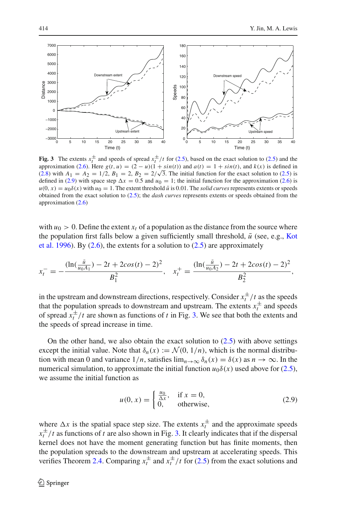

<span id="page-11-1"></span>**Fig. 3** The extents  $x_t^{\pm}$  and speeds of spread  $x_t^{\pm}/t$  for [\(2.5\)](#page-10-0), based on the exact solution to (2.5) and the approximation [\(2.6\)](#page-10-2). Here  $g(t, u) = (2 - u)(1 + \sin(t))$  and  $a(t) = 1 + \sin(t)$ , and  $k(x)$  is defined in approximation (2.6). Here  $g(t, u) = (2 - u)(1 + sin(t))$  and  $a(t) = 1 + sin(t)$ , and  $k(x)$  is defined in [\(2.8\)](#page-10-4) with  $A_1 = A_2 = 1/2$ ,  $B_1 = 2$ ,  $B_2 = 2/\sqrt{3}$ . The initial function for the exact solution to [\(2.5\)](#page-10-0) is defined in [\(2.9\)](#page-11-0) with space step  $\Delta x = 0.5$  and  $u_0 = 1$ ; the initial function for the approximation [\(2.6\)](#page-10-2) is  $u(0, x) = u_0 \delta(x)$  with  $u_0 = 1$ . The extent threshold  $\bar{u}$  is 0.01. The *solid curves* represents extents or speeds obtained from the exact solution to [\(2.5\)](#page-10-0); the *dash curves* represents extents or speeds obtained from the approximation [\(2.6\)](#page-10-2)

with  $u_0 > 0$ . Define the extent  $x_t$  of a population as the distance from the source where the [population](#page-35-0) [first](#page-35-0) [falls](#page-35-0) [below](#page-35-0) [a](#page-35-0) [given](#page-35-0) [sufficiently](#page-35-0) [small](#page-35-0) [threshold,](#page-35-0)  $\bar{u}$  (see, e.g., Kot et al. [1996\)](#page-35-0). By  $(2.6)$ , the extents for a solution to  $(2.5)$  are approximately

$$
x_t^- = -\frac{\left(\ln(\frac{\bar{u}}{u_0 A_1}) - 2t + 2\cos(t) - 2\right)^2}{B_1^2}, \quad x_t^+ = \frac{\left(\ln(\frac{\bar{u}}{u_0 A_2}) - 2t + 2\cos(t) - 2\right)^2}{B_2^2},
$$

in the upstream and downstream directions, respectively. Consider  $x_t^{\pm}/t$  as the speeds that the population spreads to downstream and upstream. The extents  $x_t^{\pm}$  and speeds of spread  $x_t^{\pm}/t$  are shown as functions of *t* in Fig. [3.](#page-11-1) We see that both the extents and the speeds of spread increase in time.

On the other hand, we also obtain the exact solution to  $(2.5)$  with above settings except the initial value. Note that  $\delta_n(x) := \mathcal{N}(0, 1/n)$ , which is the normal distribution with mean 0 and variance  $1/n$ , satisfies  $\lim_{n\to\infty} \delta_n(x) = \delta(x)$  as  $n \to \infty$ . In the numerical simulation, to approximate the initial function  $u_0\delta(x)$  used above for [\(2.5\)](#page-10-0), we assume the initial function as

$$
u(0, x) = \begin{cases} \frac{u_0}{\Delta x}, & \text{if } x = 0, \\ 0, & \text{otherwise,} \end{cases}
$$
 (2.9)

<span id="page-11-0"></span>where  $\Delta x$  is the spatial space step size. The extents  $x_t^{\pm}$  and the approximate speeds  $x_t^{\pm}/t$  as functions of *t* are also shown in Fig. [3.](#page-11-1) It clearly indicates that if the dispersal kernel does not have the moment generating function but has finite moments, then the population spreads to the downstream and upstream at accelerating speeds. This verifies Theorem [2.4.](#page-9-1) Comparing  $x_t^{\pm}$  and  $x_t^{\pm}/t$  for [\(2.5\)](#page-10-0) from the exact solutions and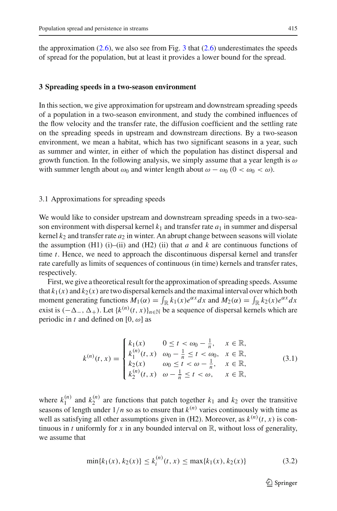the approximation  $(2.6)$ , we also see from Fig. [3](#page-11-1) that  $(2.6)$  underestimates the speeds of spread for the population, but at least it provides a lower bound for the spread.

#### <span id="page-12-0"></span>**3 Spreading speeds in a two-season environment**

In this section, we give approximation for upstream and downstream spreading speeds of a population in a two-season environment, and study the combined influences of the flow velocity and the transfer rate, the diffusion coefficient and the settling rate on the spreading speeds in upstream and downstream directions. By a two-season environment, we mean a habitat, which has two significant seasons in a year, such as summer and winter, in either of which the population has distinct dispersal and growth function. In the following analysis, we simply assume that a year length is  $\omega$ with summer length about  $\omega_0$  and winter length about  $\omega - \omega_0$  ( $0 < \omega_0 < \omega$ ).

#### 3.1 Approximations for spreading speeds

We would like to consider upstream and downstream spreading speeds in a two-season environment with dispersal kernel  $k_1$  and transfer rate  $a_1$  in summer and dispersal kernel  $k_2$  and transfer rate  $a_2$  in winter. An abrupt change between seasons will violate the assumption (H1) (i)–(ii) and (H2) (ii) that *a* and *k* are continuous functions of time *t*. Hence, we need to approach the discontinuous dispersal kernel and transfer rate carefully as limits of sequences of continuous (in time) kernels and transfer rates, respectively.

First, we give a theoretical result for the approximation of spreading speeds. Assume that  $k_1(x)$  and  $k_2(x)$  are two dispersal kernels and the maximal interval over which both moment generating functions  $M_1(\alpha) = \int_{\mathbb{R}} k_1(x)e^{\alpha x} dx$  and  $M_2(\alpha) = \int_{\mathbb{R}} k_2(x)e^{\alpha x} dx$ exist is  $(-\Delta_-, \Delta_+)$ . Let  $\{k^{(n)}(t, x)\}_{n \in \mathbb{N}}$  be a sequence of dispersal kernels which are periodic in *t* and defined on  $[0, \omega]$  as

$$
k^{(n)}(t,x) = \begin{cases} k_1(x) & 0 \le t < \omega_0 - \frac{1}{n}, & x \in \mathbb{R}, \\ k_1^{(n)}(t,x) & \omega_0 - \frac{1}{n} \le t < \omega_0, & x \in \mathbb{R}, \\ k_2(x) & \omega_0 \le t < \omega - \frac{1}{n}, & x \in \mathbb{R}, \\ k_2^{(n)}(t,x) & \omega - \frac{1}{n} \le t < \omega, & x \in \mathbb{R}, \end{cases}
$$
(3.1)

<span id="page-12-1"></span>where  $k_1^{(n)}$  and  $k_2^{(n)}$  are functions that patch together  $k_1$  and  $k_2$  over the transitive seasons of length under  $1/n$  so as to ensure that  $k^{(n)}$  varies continuously with time as well as satisfying all other assumptions given in (H2). Moreover, as  $k^{(n)}(t, x)$  is continuous in *t* uniformly for *x* in any bounded interval on  $\mathbb{R}$ , without loss of generality, we assume that

<span id="page-12-2"></span>
$$
\min\{k_1(x), k_2(x)\} \le k_i^{(n)}(t, x) \le \max\{k_1(x), k_2(x)\}\tag{3.2}
$$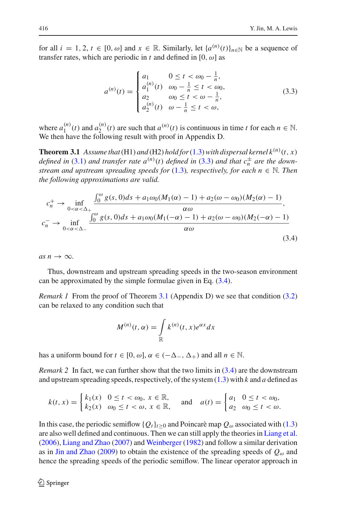for all  $i = 1, 2, t \in [0, \omega]$  and  $x \in \mathbb{R}$ . Similarly, let  $\{a^{(n)}(t)\}_{n \in \mathbb{N}}$  be a sequence of transfer rates, which are periodic in *t* and defined in [0,  $\omega$ ] as

$$
a^{(n)}(t) = \begin{cases} a_1 & 0 \le t < \omega_0 - \frac{1}{n}, \\ a_1^{(n)}(t) & \omega_0 - \frac{1}{n} \le t < \omega_0, \\ a_2 & \omega_0 \le t < \omega - \frac{1}{n}, \\ a_2^{(n)}(t) & \omega - \frac{1}{n} \le t < \omega, \end{cases}
$$
(3.3)

<span id="page-13-2"></span><span id="page-13-0"></span>where  $a_1^{(n)}(t)$  and  $a_2^{(n)}(t)$  are such that  $a^{(n)}(t)$  is continuous in time *t* for each  $n \in \mathbb{N}$ . We then have the following result with proof in Appendix D.

**Theorem 3.1** Assume that (H1) and (H2) hold for [\(1.3\)](#page-4-0) with dispersal kernel  $k^{(n)}(t, x)$ *defined in* [\(3.1\)](#page-12-1) *and transfer rate*  $a^{(n)}(t)$  *defined in* [\(3.3\)](#page-13-0) *and that*  $c_n^{\pm}$  *are the downstream and upstream spreading speeds for* [\(1.3\)](#page-4-0)*, respectively, for each n* ∈ N*. Then the following approximations are valid.*

<span id="page-13-1"></span>
$$
c_n^+ \to \inf_{0 < \alpha < \Delta_+} \frac{\int_0^\omega g(s, 0)ds + a_1 \omega_0(M_1(\alpha) - 1) + a_2(\omega - \omega_0)(M_2(\alpha) - 1)}{\alpha \omega},
$$
\n
$$
c_n^- \to \inf_{0 < \alpha < \Delta_-} \frac{\int_0^\omega g(s, 0)ds + a_1 \omega_0(M_1(-\alpha) - 1) + a_2(\omega - \omega_0)(M_2(-\alpha) - 1)}{\alpha \omega} \tag{3.4}
$$

 $as n \rightarrow \infty$ .

Thus, downstream and upstream spreading speeds in the two-season environment can be approximated by the simple formulae given in Eq. [\(3.4\)](#page-13-1).

*Remark 1* From the proof of Theorem [3.1](#page-13-2) (Appendix D) we see that condition [\(3.2\)](#page-12-2) can be relaxed to any condition such that

$$
M^{(n)}(t,\alpha) = \int_{\mathbb{R}} k^{(n)}(t,x)e^{\alpha x}dx
$$

has a uniform bound for  $t \in [0, \omega]$ ,  $\alpha \in (-\Delta_-, \Delta_+)$  and all  $n \in \mathbb{N}$ .

*Remark 2* In fact, we can further show that the two limits in  $(3.4)$  are the downstream and upstream spreading speeds, respectively, of the system [\(1.3\)](#page-4-0) with *k* and *a* defined as

$$
k(t,x) = \begin{cases} k_1(x) & 0 \le t < \omega_0, \ x \in \mathbb{R}, \\ k_2(x) & \omega_0 \le t < \omega, \ x \in \mathbb{R}, \end{cases} \quad \text{and} \quad a(t) = \begin{cases} a_1 & 0 \le t < \omega_0, \\ a_2 & \omega_0 \le t < \omega. \end{cases}
$$

In this case, the periodic semiflow  $\{Q_t\}_{t>0}$  and Poincarè map  $Q_\omega$  associated with [\(1.3\)](#page-4-0) are also well defined and continuous. Then we can still apply the theories in [Liang et al.](#page-35-4) [\(2006\)](#page-35-4), [Liang and Zhao](#page-35-5) [\(2007](#page-35-5)) and [Weinberger](#page-36-7) [\(1982](#page-36-7)) and follow a similar derivation as in [Jin and Zhao](#page-35-2) [\(2009](#page-35-2)) to obtain the existence of the spreading speeds of  $Q_{\omega}$  and hence the spreading speeds of the periodic semiflow. The linear operator approach in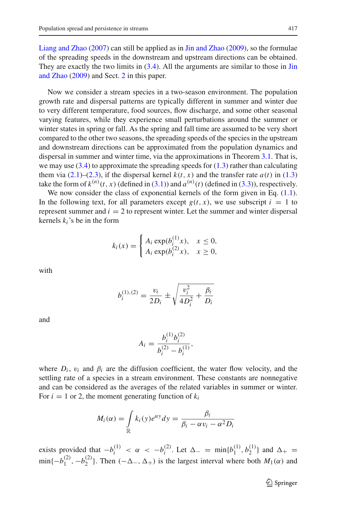[Liang and Zhao](#page-35-5) [\(2007\)](#page-35-5) can still be applied as in [Jin and Zhao](#page-35-2) [\(2009](#page-35-2)), so the formulae of the spreading speeds in the downstream and upstream directions can be obtained. They are [exactly](#page-35-2) [the](#page-35-2) [two](#page-35-2) [limits](#page-35-2) [in](#page-35-2) [\(3.4\)](#page-13-1)[.](#page-35-2) [All](#page-35-2) [the](#page-35-2) [arguments](#page-35-2) [are](#page-35-2) [similar](#page-35-2) [to](#page-35-2) [those](#page-35-2) [in](#page-35-2) Jin and Zhao [\(2009\)](#page-35-2) and Sect. [2](#page-5-0) in this paper.

Now we consider a stream species in a two-season environment. The population growth rate and dispersal patterns are typically different in summer and winter due to very different temperature, food sources, flow discharge, and some other seasonal varying features, while they experience small perturbations around the summer or winter states in spring or fall. As the spring and fall time are assumed to be very short compared to the other two seasons, the spreading speeds of the species in the upstream and downstream directions can be approximated from the population dynamics and dispersal in summer and winter time, via the approximations in Theorem [3.1.](#page-13-2) That is, we may use  $(3.4)$  to approximate the spreading speeds for  $(1.3)$  rather than calculating them via  $(2.1)$ – $(2.3)$ , if the dispersal kernel  $k(t, x)$  and the transfer rate  $a(t)$  in [\(1.3\)](#page-4-0) take the form of  $k^{(n)}(t, x)$  (defined in [\(3.1\)](#page-12-1)) and  $a^{(n)}(t)$  (defined in [\(3.3\)](#page-13-0)), respectively.

We now consider the class of exponential kernels of the form given in Eq.  $(1.1)$ . In the following text, for all parameters except  $g(t, x)$ , we use subscript  $i = 1$  to represent summer and  $i = 2$  to represent winter. Let the summer and winter dispersal kernels  $k_i$ 's be in the form

$$
k_i(x) = \begin{cases} A_i \exp(b_i^{(1)}x), & x \le 0, \\ A_i \exp(b_i^{(2)}x), & x \ge 0, \end{cases}
$$

with

$$
b_i^{(1),(2)} = \frac{v_i}{2D_i} \pm \sqrt{\frac{v_i^2}{4D_i^2} + \frac{\beta_i}{D_i}}
$$

and

$$
A_i = \frac{b_i^{(1)} b_i^{(2)}}{b_i^{(2)} - b_i^{(1)}},
$$

where  $D_i$ ,  $v_i$  and  $\beta_i$  are the diffusion coefficient, the water flow velocity, and the settling rate of a species in a stream environment. These constants are nonnegative and can be considered as the averages of the related variables in summer or winter. For  $i = 1$  or 2, the moment generating function of  $k_i$ 

$$
M_i(\alpha) = \int_{\mathbb{R}} k_i(y) e^{\alpha y} dy = \frac{\beta_i}{\beta_i - \alpha v_i - \alpha^2 D_i}
$$

exists provided that  $-b_i^{(1)} < \alpha < -b_i^{(2)}$ . Let  $\Delta_- = \min\{b_1^{(1)}, b_2^{(1)}\}$  and  $\Delta_+ =$  $\min\{-b_1^{(2)}, -b_2^{(2)}\}\.$  Then  $(-\Delta_-, \Delta_+)$  is the largest interval where both  $M_1(\alpha)$  and

<sup>2</sup> Springer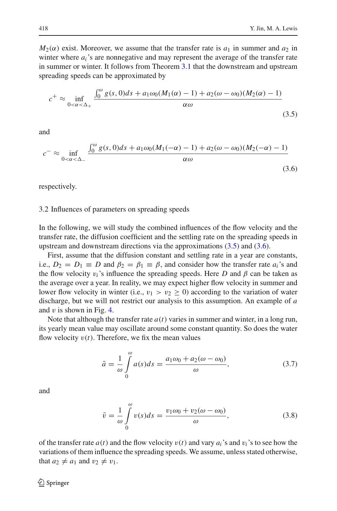$M_2(\alpha)$  exist. Moreover, we assume that the transfer rate is  $a_1$  in summer and  $a_2$  in winter where  $a_i$ 's are nonnegative and may represent the average of the transfer rate in summer or winter. It follows from Theorem [3.1](#page-13-2) that the downstream and upstream spreading speeds can be approximated by

<span id="page-15-0"></span>
$$
c^{+} \approx \inf_{0 < \alpha < \Delta_{+}} \frac{\int_{0}^{\omega} g(s, 0)ds + a_{1}\omega_{0}(M_{1}(\alpha) - 1) + a_{2}(\omega - \omega_{0})(M_{2}(\alpha) - 1)}{\alpha \omega} \tag{3.5}
$$

<span id="page-15-1"></span>and

$$
c^{-} \approx \inf_{0 < \alpha < \Delta_{-}} \frac{\int_{0}^{\omega} g(s, 0)ds + a_{1}\omega_{0}(M_{1}(-\alpha) - 1) + a_{2}(\omega - \omega_{0})(M_{2}(-\alpha) - 1)}{\alpha \omega} \tag{3.6}
$$

respectively.

#### 3.2 Influences of parameters on spreading speeds

In the following, we will study the combined influences of the flow velocity and the transfer rate, the diffusion coefficient and the settling rate on the spreading speeds in upstream and downstream directions via the approximations [\(3.5\)](#page-15-0) and [\(3.6\)](#page-15-1).

First, assume that the diffusion constant and settling rate in a year are constants, i.e.,  $D_2 = D_1 \equiv D$  and  $\beta_2 = \beta_1 \equiv \beta$ , and consider how the transfer rate  $a_i$ 's and the flow velocity  $v_i$ 's influence the spreading speeds. Here *D* and  $\beta$  can be taken as the average over a year. In reality, we may expect higher flow velocity in summer and lower flow velocity in winter (i.e.,  $v_1 > v_2 \ge 0$ ) according to the variation of water discharge, but we will not restrict our analysis to this assumption. An example of *a* and  $v$  is shown in Fig. [4.](#page-16-0)

Note that although the transfer rate  $a(t)$  varies in summer and winter, in a long run, its yearly mean value may oscillate around some constant quantity. So does the water flow velocity  $v(t)$ . Therefore, we fix the mean values

$$
\bar{a} = \frac{1}{\omega} \int_{0}^{\omega} a(s)ds = \frac{a_1 \omega_0 + a_2(\omega - \omega_0)}{\omega},
$$
\n(3.7)

<span id="page-15-3"></span><span id="page-15-2"></span>and

$$
\bar{v} = \frac{1}{\omega} \int_{0}^{\omega} v(s)ds = \frac{v_1 \omega_0 + v_2(\omega - \omega_0)}{\omega},
$$
\n(3.8)

of the transfer rate  $a(t)$  and the flow velocity  $v(t)$  and vary  $a_i$ 's and  $v_i$ 's to see how the variations of them influence the spreading speeds. We assume, unless stated otherwise, that  $a_2 \neq a_1$  and  $v_2 \neq v_1$ .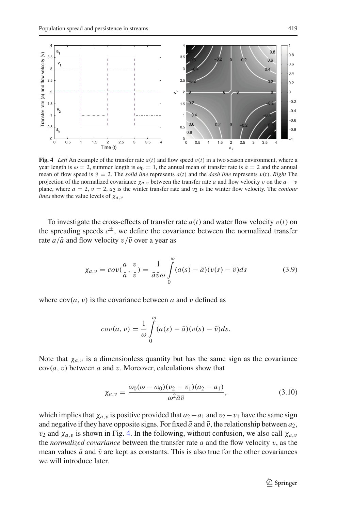

<span id="page-16-0"></span>**Fig. 4** *Left* An example of the transfer rate  $a(t)$  and flow speed  $v(t)$  in a two season environment, where a year length is  $\omega = 2$ , summer length is  $\omega_0 = 1$ , the annual mean of transfer rate is  $\bar{a} = 2$  and the annual mean of flow speed is  $\bar{v} = 2$ . The *solid line* represents  $a(t)$  and the *dash line* represents  $v(t)$ . *Right* The projection of the normalized covariance  $\chi_{a,v}$  between the transfer rate *a* and flow velocity v on the  $a - v$ plane, where  $\bar{a} = 2$ ,  $\bar{v} = 2$ ,  $a_2$  is the winter transfer rate and  $v_2$  is the winter flow velocity. The *contour lines* show the value levels of  $\chi_{a,v}$ 

To investigate the cross-effects of transfer rate  $a(t)$  and water flow velocity  $v(t)$  on the spreading speeds  $c^{\pm}$ , we define the covariance between the normalized transfer rate  $a/\bar{a}$  and flow velocity  $v/\bar{v}$  over a year as

$$
\chi_{a,v} = cov(\frac{a}{\bar{a}}, \frac{v}{\bar{v}}) = \frac{1}{\bar{a}\bar{v}\omega} \int\limits_{0}^{\omega} (a(s) - \bar{a})(v(s) - \bar{v})ds \tag{3.9}
$$

<span id="page-16-2"></span>where  $cov(a, v)$  is the covariance between *a* and *v* defined as

$$
cov(a, v) = \frac{1}{\omega} \int_{0}^{\omega} (a(s) - \bar{a})(v(s) - \bar{v})ds.
$$

Note that  $\chi_{a,v}$  is a dimensionless quantity but has the same sign as the covariance  $cov(a, v)$  between *a* and *v*. Moreover, calculations show that

$$
\chi_{a,v} = \frac{\omega_0(\omega - \omega_0)(v_2 - v_1)(a_2 - a_1)}{\omega^2 \bar{a}\bar{v}},\tag{3.10}
$$

<span id="page-16-1"></span>which implies that  $\chi_{a,v}$  is positive provided that  $a_2 - a_1$  and  $v_2 - v_1$  have the same sign and negative if they have opposite signs. For fixed  $\bar{a}$  and  $\bar{v}$ , the relationship between  $a_2$ ,  $v_2$  and  $\chi_{a,v}$  is shown in Fig. [4.](#page-16-0) In the following, without confusion, we also call  $\chi_{a,v}$ the *normalized covariance* between the transfer rate *a* and the flow velocity v, as the mean values  $\bar{a}$  and  $\bar{v}$  are kept as constants. This is also true for the other covariances we will introduce later.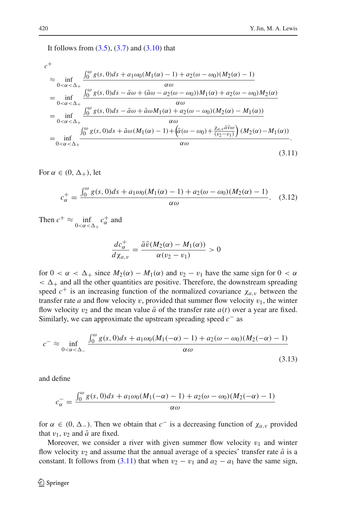It follows from  $(3.5)$ ,  $(3.7)$  and  $(3.10)$  that

<span id="page-17-0"></span>
$$
c^{+}
$$
\n
$$
\approx \inf_{0 < \alpha < \Delta_{+}} \frac{\int_{0}^{\omega} g(s, 0)ds + a_{1}\omega_{0}(M_{1}(\alpha) - 1) + a_{2}(\omega - \omega_{0})(M_{2}(\alpha) - 1)}{\alpha \omega}
$$
\n
$$
= \inf_{0 < \alpha < \Delta_{+}} \frac{\int_{0}^{\omega} g(s, 0)ds - \bar{a}\omega + (\bar{a}\omega - a_{2}(\omega - \omega_{0}))M_{1}(\alpha) + a_{2}(\omega - \omega_{0})M_{2}(\alpha)}{\alpha \omega}
$$
\n
$$
= \inf_{0 < \alpha < \Delta_{+}} \frac{\int_{0}^{\omega} g(s, 0)ds - \bar{a}\omega + \bar{a}\omega M_{1}(\alpha) + a_{2}(\omega - \omega_{0})(M_{2}(\alpha) - M_{1}(\alpha))}{\alpha \omega}
$$
\n
$$
= \inf_{0 < \alpha < \Delta_{+}} \frac{\int_{0}^{\omega} g(s, 0)ds + \bar{a}\omega (M_{1}(\alpha) - 1) + \left(\bar{a}(\omega - \omega_{0}) + \frac{\chi_{a,v}\bar{a}\bar{v}\omega}{(v_{2}-v_{1})}\right)(M_{2}(\alpha) - M_{1}(\alpha))}{\alpha \omega}.
$$
\n(3.11)

For  $\alpha \in (0, \Delta_+)$ , let

$$
c_{\alpha}^{+} = \frac{\int_{0}^{\omega} g(s, 0)ds + a_1 \omega_0 (M_1(\alpha) - 1) + a_2(\omega - \omega_0)(M_2(\alpha) - 1)}{\alpha \omega}.
$$
 (3.12)

Then  $c^+ \approx \inf_{0 < \alpha < \Delta_+} c^+_{\alpha}$  and

$$
\frac{dc_{\alpha}^+}{d\chi_{a,v}} = \frac{\bar{a}\bar{v}(M_2(\alpha) - M_1(\alpha))}{\alpha(v_2 - v_1)} > 0
$$

for  $0 < \alpha < \Delta_+$  since  $M_2(\alpha) - M_1(\alpha)$  and  $v_2 - v_1$  have the same sign for  $0 < \alpha$  $< \Delta_+$  and all the other quantities are positive. Therefore, the downstream spreading speed  $c^+$  is an increasing function of the normalized covariance  $\chi_{a,v}$  between the transfer rate *a* and flow velocity *v*, provided that summer flow velocity  $v_1$ , the winter flow velocity  $v_2$  and the mean value  $\bar{a}$  of the transfer rate  $a(t)$  over a year are fixed. Similarly, we can approximate the upstream spreading speed *c*<sup>−</sup> as

$$
c^{-} \approx \inf_{0 < \alpha < \Delta_{-}} \frac{\int_{0}^{\omega} g(s, 0)ds + a_{1}\omega_{0}(M_{1}(-\alpha) - 1) + a_{2}(\omega - \omega_{0})(M_{2}(-\alpha) - 1)}{\alpha \omega} \tag{3.13}
$$

and define

$$
c_{\alpha}^{-} = \frac{\int_{0}^{\omega} g(s, 0)ds + a_1 \omega_0 (M_1(-\alpha) - 1) + a_2(\omega - \omega_0)(M_2(-\alpha) - 1)}{\alpha \omega}
$$

for  $\alpha \in (0, \Delta_{-})$ . Then we obtain that  $c^{-}$  is a decreasing function of  $\chi_{a,v}$  provided that  $v_1$ ,  $v_2$  and  $\bar{a}$  are fixed.

Moreover, we consider a river with given summer flow velocity  $v_1$  and winter flow velocity  $v_2$  and assume that the annual average of a species' transfer rate  $\bar{a}$  is a constant. It follows from [\(3.11\)](#page-17-0) that when  $v_2 - v_1$  and  $a_2 - a_1$  have the same sign,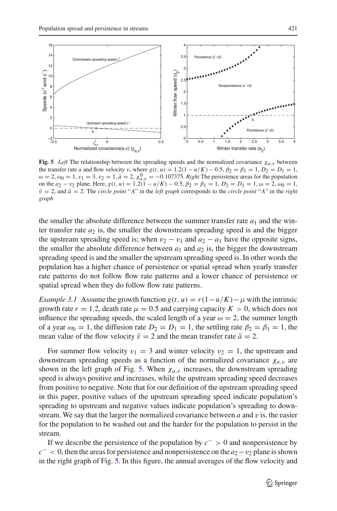

<span id="page-18-0"></span>**Fig. 5** *Left* The relationship between the spreading speeds and the normalized covariance  $\chi_{a,v}$  between the transfer rate *a* and flow velocity v, where  $g(t, u) = 1.2(1 - u/K) - 0.5$ ,  $\beta_2 = \beta_1 = 1$ ,  $D_2 = D_1 = 1$ ,  $\omega = 2, \omega_0 = 1, v_1 = 3, v_2 = 1, \bar{a} = 2, \chi^0_{a,v} = -0.107375$ . *Right* The persistence areas for the population on the  $a_2 - v_2$  plane. Here,  $g(t, u) = 1.2(1 - u/K) - 0.5$ ,  $\beta_2 = \beta_1 = 1$ ,  $D_2 = D_1 = 1$ ,  $\omega = 2$ ,  $\omega_0 = 1$ ,  $\bar{v} = 2$ , and  $\bar{a} = 2$ . The *circle point* "*A*" in the *left graph* corresponds to the *circle point* "*A*" in the *right graph*

the smaller the absolute difference between the summer transfer rate  $a_1$  and the winter transfer rate  $a_2$  is, the smaller the downstream spreading speed is and the bigger the upstream spreading speed is; when  $v_2 - v_1$  and  $a_2 - a_1$  have the opposite signs, the smaller the absolute difference between  $a_1$  and  $a_2$  is, the bigger the downstream spreading speed is and the smaller the upstream spreading speed is. In other words the population has a higher chance of persistence or spatial spread when yearly transfer rate patterns do not follow flow rate patterns and a lower chance of persistence or spatial spread when they do follow flow rate patterns.

<span id="page-18-1"></span>*Example 3.1* Assume the growth function  $g(t, u) = r(1 - u/K) - \mu$  with the intrinsic growth rate  $r = 1.2$ , death rate  $\mu = 0.5$  and carrying capacity  $K > 0$ , which does not influence the spreading speeds, the scaled length of a year  $\omega = 2$ , the summer length of a year  $\omega_0 = 1$ , the diffusion rate  $D_2 = D_1 = 1$ , the settling rate  $\beta_2 = \beta_1 = 1$ , the mean value of the flow velocity  $\bar{v} = 2$  and the mean transfer rate  $\bar{a} = 2$ .

For summer flow velocity  $v_1 = 3$  and winter velocity  $v_2 = 1$ , the upstream and downstream spreading speeds as a function of the normalized covariance  $\chi_{a,v}$  are shown in the left graph of Fig. [5.](#page-18-0) When  $\chi_{a,v}$  increases, the downstream spreading speed is always positive and increases, while the upstream spreading speed decreases from positive to negative. Note that for our definition of the upstream spreading speed in this paper, positive values of the upstream spreading speed indicate population's spreading to upstream and negative values indicate population's spreading to downstream. We say that the larger the normalized covariance between *a* and v is, the easier for the population to be washed out and the harder for the population to persist in the stream.

If we describe the persistence of the population by *c*<sup>−</sup> > 0 and nonpersistence by  $c<sub>0</sub>$ , then the areas for persistence and nonpersistence on the  $a<sub>2</sub> - v<sub>2</sub>$  plane is shown in the right graph of Fig. [5.](#page-18-0) In this figure, the annual averages of the flow velocity and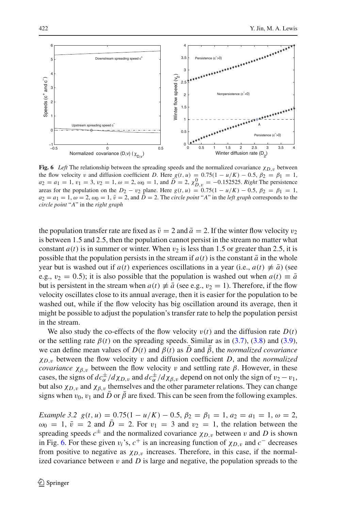

<span id="page-19-0"></span>**Fig. 6** *Left* The relationship between the spreading speeds and the normalized covariance  $\chi_{D,v}$  between the flow velocity v and diffusion coefficient *D*. Here  $g(t, u) = 0.75(1 - u/K) - 0.5$ ,  $\beta_2 = \beta_1 = 1$ ,  $a_2 = a_1 = 1, v_1 = 3, v_2 = 1, \omega = 2, \omega_0 = 1, \text{ and } \overline{D} = 2, \chi_{D,v}^0 = -0.152525$ . *Right* The persistence areas for the population on the  $D_2 - v_2$  plane. Here  $g(t, u) = 0.75(1 - u/K) - 0.5$ ,  $\beta_2 = \beta_1 = 1$ ,  $a_2 = a_1 = 1$ ,  $\omega = 2$ ,  $\omega_0 = 1$ ,  $\bar{v} = 2$ , and  $\bar{D} = 2$ . The *circle point* "*A*" in the *left graph* corresponds to the *circle point* "*A*" in the *right graph*

the population transfer rate are fixed as  $\bar{v} = 2$  and  $\bar{a} = 2$ . If the winter flow velocity  $v_2$ is between 1.5 and 2.5, then the population cannot persist in the stream no matter what constant  $a(t)$  is in summer or winter. When  $v_2$  is less than 1.5 or greater than 2.5, it is possible that the population persists in the stream if  $a(t)$  is the constant  $\bar{a}$  in the whole year but is washed out if  $a(t)$  experiences oscillations in a year (i.e.,  $a(t) \neq \overline{a}$ ) (see e.g.,  $v_2 = 0.5$ ); it is also possible that the population is washed out when  $a(t) \equiv \bar{a}$ but is persistent in the stream when  $a(t) \neq \overline{a}$  (see e.g.,  $v_2 = 1$ ). Therefore, if the flow velocity oscillates close to its annual average, then it is easier for the population to be washed out, while if the flow velocity has big oscillation around its average, then it might be possible to adjust the population's transfer rate to help the population persist in the stream.

We also study the co-effects of the flow velocity  $v(t)$  and the diffusion rate  $D(t)$ or the settling rate  $\beta(t)$  on the spreading speeds. Similar as in [\(3.7\)](#page-15-2), [\(3.8\)](#page-15-3) and [\(3.9\)](#page-16-2), we can define mean values of  $D(t)$  and  $\beta(t)$  as *D* and  $\bar{\beta}$ , the *normalized covariance*  $\chi_{D,\nu}$  between the flow velocity v and diffusion coefficient *D*, and the *normalized covariance*  $\chi_{\beta,\nu}$  between the flow velocity v and settling rate  $\beta$ . However, in these cases, the signs of  $dc_{\alpha}^{\pm}/d\chi_{D,\nu}$  and  $dc_{\alpha}^{\pm}/d\chi_{\beta,\nu}$  depend on not only the sign of  $v_2 - v_1$ , but also  $\chi_{D,\nu}$  and  $\chi_{\beta,\nu}$  themselves and the other parameter relations. They can change signs when  $v_0$ ,  $v_1$  and *D* or  $\beta$  are fixed. This can be seen from the following examples.

<span id="page-19-1"></span>*Example 3.2*  $g(t, u) = 0.75(1 - u/K) - 0.5$ ,  $\beta_2 = \beta_1 = 1$ ,  $a_2 = a_1 = 1$ ,  $\omega = 2$ ,  $\omega_0 = 1$ ,  $\bar{v} = 2$  and  $\bar{D} = 2$ . For  $v_1 = 3$  and  $v_2 = 1$ , the relation between the spreading speeds  $c^{\pm}$  and the normalized covariance  $\chi_{D,v}$  between v and D is shown in Fig. [6.](#page-19-0) For these given  $v_i$ 's,  $c^+$  is an increasing function of  $\chi_{D,v}$  and  $c^-$  decreases from positive to negative as  $\chi_{D,\nu}$  increases. Therefore, in this case, if the normalized covariance between  $v$  and  $D$  is large and negative, the population spreads to the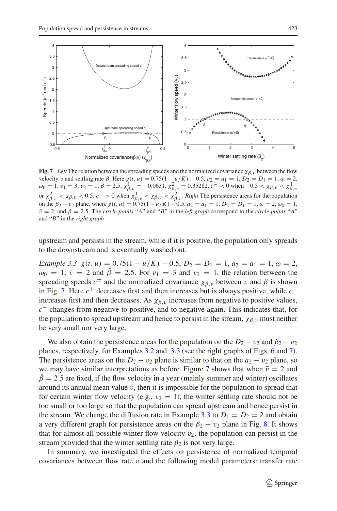

<span id="page-20-0"></span>**Fig. 7** *Left* The relation between the spreading speeds and the normalized covariance  $\chi_{\beta, v}$  between the flow velocity *v* and settling rate β. Here  $g(t, u) = 0.75(1 - u/K) - 0.5$ ,  $a_2 = a_1 = 1$ ,  $D_2 = D_1 = 1$ ,  $ω = 2$ ,  $\omega_0 = 1, v_1 = 3, v_2 = 1, \bar{\beta} = 2.5, \chi^1_{\beta, v} = -0.0631, \chi^2_{\beta, v} = 0.35282. c^- < 0$  when  $-0.5 < \chi_{\beta, v} < \chi^1_{\beta, v}$ or  $\chi^2_{\beta, v} < \chi_{\beta, v} < 0.5$ ;  $c^- > 0$  when  $\chi^1_{\beta, v} < \chi_{\beta, v} < \chi^2_{\beta, v}$ . *Right* The persistence areas for the population on the  $\beta_2 - \nu_2$  plane, where  $g(t, u) = 0.75(1 - u/K) - 0.5$ ,  $a_2 = a_1 = 1$ ,  $D_2 = D_1 = 1$ ,  $\omega = 2$ ,  $\omega_0 = 1$ ,  $\bar{v} = 2$ , and  $\bar{\beta} = 2.5$ . The *circle points* "*A*" and "*B*" in the *left graph* correspond to the *circle points* "*A*" and "*B*" in the *right graph*

upstream and persists in the stream, while if it is positive, the population only spreads to the downstream and is eventually washed out.

<span id="page-20-1"></span>*Example 3.3*  $g(t, u) = 0.75(1 - u/K) - 0.5$ ,  $D_2 = D_1 = 1$ ,  $a_2 = a_1 = 1$ ,  $\omega = 2$ ,  $\omega_0 = 1$ ,  $\bar{v} = 2$  and  $\bar{\beta} = 2.5$ . For  $v_1 = 3$  and  $v_2 = 1$ , the relation between the spreading speeds  $c^{\pm}$  and the normalized covariance  $\chi_{\beta,\nu}$  between v and  $\beta$  is shown in Fig. [7.](#page-20-0) Here *c*<sup>+</sup> decreases first and then increases but is always positive, while *c*<sup>−</sup> increases first and then decreases. As  $\chi_{\beta, \nu}$  increases from negative to positive values, *c*<sup>−</sup> changes from negative to positive, and to negative again. This indicates that, for the population to spread upstream and hence to persist in the stream,  $\chi_{\beta,\nu}$  must neither be very small nor very large.

We also obtain the persistence areas for the population on the  $D_2 - v_2$  and  $\beta_2 - v_2$ planes, respectively, for Examples [3.2](#page-19-1) and [3.3](#page-20-1) (see the right graphs of Figs. [6](#page-19-0) and [7\)](#page-20-0). The persistence areas on the  $D_2 - v_2$  plane is similar to that on the  $a_2 - v_2$  plane, so we may have similar interpretations as before. Figure [7](#page-20-0) shows that when  $\bar{v} = 2$  and  $\beta = 2.5$  are fixed, if the flow velocity in a year (mainly summer and winter) oscillates around its annual mean value  $\bar{v}$ , then it is impossible for the population to spread that for certain winter flow velocity (e.g.,  $v_2 = 1$ ), the winter settling rate should not be too small or too large so that the population can spread upstream and hence persist in the stream. We change the diffusion rate in Example [3.3](#page-20-1) to  $D_1 = D_2 = 2$  and obtain a very different graph for persistence areas on the  $\beta_2 - v_2$  plane in Fig. [8.](#page-21-0) It shows that for almost all possible winter flow velocity  $v_2$ , the population can persist in the stream provided that the winter settling rate  $\beta_2$  is not very large.

In summary, we investigated the effects on persistence of normalized temporal covariances between flow rate  $v$  and the following model parameters: transfer rate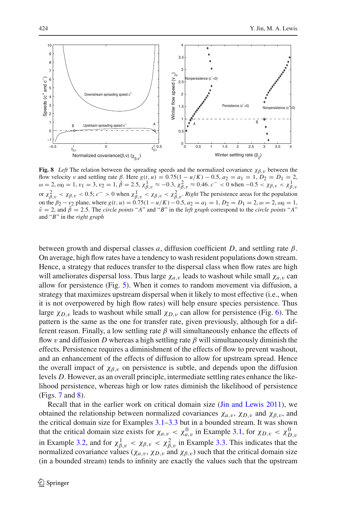

<span id="page-21-0"></span>**Fig. 8** *Left* The relation between the spreading speeds and the normalized covariance  $\chi_{\beta,\nu}$  between the flow velocity v and settling rate  $\beta$ . Here  $g(t, u) = 0.75(1 - u/K) - 0.5$ ,  $a_2 = a_1 = 1$ ,  $D_2 = D_1 = 2$ ,  $\omega = 2$ ,  $\omega_0 = 1$ ,  $v_1 = 3$ ,  $v_2 = 1$ ,  $\beta = 2.5$ ,  $\chi^1_{\beta, v} \approx -0.3$ ,  $\chi^2_{\beta, v} \approx 0.46$ .  $c^- < 0$  when  $-0.5 < \chi_{\beta, v} < \chi$ or  $\chi^2_{\beta, v} < \chi_{\beta, v} < 0.5$ ;  $c^- > 0$  when  $\chi^1_{\beta, v} < \chi_{\beta, v} < \chi^2_{\beta, v}$ . *Right* The persistence areas for the population on the  $\beta_2 - v_2$  plane, where  $g(t, u) = 0.75(1 - u/K) - 0.5$ ,  $a_2 = a_1 = 1$ ,  $D_2 = D_1 = 2$ ,  $\omega = 2$ ,  $\omega_0 = 1$ ,  $\bar{v} = 2$ , and  $\bar{\beta} = 2.5$ . The *circle points* "*A*" and "*B*" in the *left graph* correspond to the *circle points* "*A*" and "*B*" in the *right graph*

between growth and dispersal classes *a*, diffusion coefficient *D*, and settling rate β. On average, high flow rates have a tendency to wash resident populations down stream. Hence, a strategy that reduces transfer to the dispersal class when flow rates are high will ameliorates dispersal loss. Thus large  $\chi_{a,v}$  leads to washout while small  $\chi_{a,v}$  can allow for persistence (Fig. [5\)](#page-18-0). When it comes to random movement via diffusion, a strategy that maximizes upstream dispersal when it likely to most effective (i.e., when it is not overpowered by high flow rates) will help ensure species persistence. Thus large  $\chi_{D,v}$  leads to washout while small  $\chi_{D,v}$  can allow for persistence (Fig. [6\)](#page-19-0). The pattern is the same as the one for transfer rate, given previously, although for a different reason. Finally, a low settling rate  $\beta$  will simultaneously enhance the effects of flow v and diffusion D whereas a high settling rate  $\beta$  will simultaneously diminish the effects. Persistence requires a diminishment of the effects of flow to prevent washout, and an enhancement of the effects of diffusion to allow for upstream spread. Hence the overall impact of  $\chi_{\beta,\nu}$  on persistence is subtle, and depends upon the diffusion levels *D*. However, as an overall principle, intermediate settling rates enhance the likelihood persistence, whereas high or low rates diminish the likelihood of persistence (Figs. [7](#page-20-0) and [8\)](#page-21-0).

Recall that in the earlier work on critical domain size [\(Jin and Lewis 2011](#page-35-7)), we obtained the relationship between normalized covariances  $\chi_{a,v}$ ,  $\chi_{D,v}$  and  $\chi_{\beta,v}$ , and the critical domain size for Examples  $3.1-3.3$  $3.1-3.3$  but in a bounded stream. It was shown that the critical domain size exists for  $\chi_{a,v} < \chi_{a,v}^0$  in Example [3.1,](#page-18-1) for  $\chi_{D,v} < \chi_{D,v}^0$ in Example [3.2,](#page-19-1) and for  $\chi^1_{\beta,\nu} < \chi_{\beta,\nu} < \chi^2_{\beta,\nu}$  in Example [3.3.](#page-20-1) This indicates that the normalized covariance values ( $\chi_{a,v}$ ,  $\chi_{D,v}$  and  $\chi_{\beta,v}$ ) such that the critical domain size (in a bounded stream) tends to infinity are exactly the values such that the upstream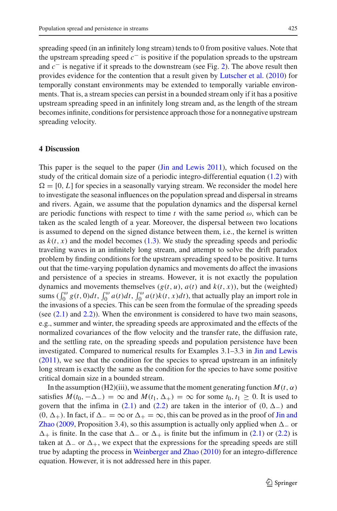spreading speed (in an infinitely long stream) tends to 0 from positive values. Note that the upstream spreading speed *c*<sup>−</sup> is positive if the population spreads to the upstream and *c*<sup>−</sup> is negative if it spreads to the downstream (see Fig. [2\)](#page-3-0). The above result then provides evidence for the contention that a result given by [Lutscher et al.](#page-36-10) [\(2010](#page-36-10)) for temporally constant environments may be extended to temporally variable environments. That is, a stream species can persist in a bounded stream only if it has a positive upstream spreading speed in an infinitely long stream and, as the length of the stream becomes infinite, conditions for persistence approach those for a nonnegative upstream spreading velocity.

## <span id="page-22-0"></span>**4 Discussion**

This paper is the sequel to the paper [\(Jin and Lewis 2011](#page-35-7)), which focused on the study of the critical domain size of a periodic integro-differential equation [\(1.2\)](#page-3-1) with  $\Omega = [0, L]$  for species in a seasonally varying stream. We reconsider the model here to investigate the seasonal influences on the population spread and dispersal in streams and rivers. Again, we assume that the population dynamics and the dispersal kernel are periodic functions with respect to time  $t$  with the same period  $\omega$ , which can be taken as the scaled length of a year. Moreover, the dispersal between two locations is assumed to depend on the signed distance between them, i.e., the kernel is written as  $k(t, x)$  and the model becomes [\(1.3\)](#page-4-0). We study the spreading speeds and periodic traveling waves in an infinitely long stream, and attempt to solve the drift paradox problem by finding conditions for the upstream spreading speed to be positive. It turns out that the time-varying population dynamics and movements do affect the invasions and persistence of a species in streams. However, it is not exactly the population dynamics and movements themselves  $(g(t, u), a(t)$  and  $k(t, x)$ ), but the (weighted) sums  $(\int_0^\omega g(t, 0)dt, \int_0^\omega a(t)dt, \int_0^\omega a(t)k(t, x)dt)$ , that actually play an import role in the invasions of a species. This can be seen from the formulae of the spreading speeds (see [\(2.1\)](#page-7-3) and [2.2\)](#page-7-1)). When the environment is considered to have two main seasons, e.g., summer and winter, the spreading speeds are approximated and the effects of the normalized covariances of the flow velocity and the transfer rate, the diffusion rate, and the settling rate, on the spreading speeds and population persistence have been investigated. Compared to numerical results for Examples 3.1–3.3 in [Jin and Lewis](#page-35-7) [\(2011\)](#page-35-7), we see that the condition for the species to spread upstream in an infinitely long stream is exactly the same as the condition for the species to have some positive critical domain size in a bounded stream.

In the assumption (H2)(iii), we assume that the moment generating function  $M(t, \alpha)$ satisfies  $M(t_0, -\Delta_-) = \infty$  and  $M(t_1, \Delta_+) = \infty$  for some  $t_0, t_1 \geq 0$ . It is used to govern that the infima in [\(2.1\)](#page-7-3) and [\(2.2\)](#page-7-1) are taken in the interior of  $(0, \Delta_{-})$  and  $(0, \Delta_+)$  $(0, \Delta_+)$  $(0, \Delta_+)$ . In fact, if  $\Delta_- = \infty$  $\Delta_- = \infty$  $\Delta_- = \infty$  or  $\Delta_+ = \infty$ , [this](#page-35-2) [can](#page-35-2) [be](#page-35-2) [proved](#page-35-2) [as](#page-35-2) in [the](#page-35-2) [proof](#page-35-2) [of](#page-35-2) Jin and Zhao [\(2009,](#page-35-2) Proposition 3.4), so this assumption is actually only applied when  $\Delta_{-}$  or  $\Delta_+$  is finite. In the case that  $\Delta_-$  or  $\Delta_+$  is finite but the infimum in [\(2.1\)](#page-7-3) or [\(2.2\)](#page-7-1) is taken at  $\Delta$  or  $\Delta$ <sub>+</sub>, we expect that the expressions for the spreading speeds are still true by adapting the process in [Weinberger and Zhao](#page-36-8) [\(2010\)](#page-36-8) for an integro-difference equation. However, it is not addressed here in this paper.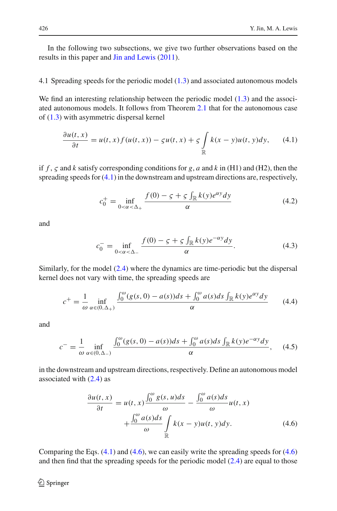In the following two subsections, we give two further observations based on the results in this paper and [Jin and Lewis](#page-35-7) [\(2011\)](#page-35-7).

## 4.1 Spreading speeds for the periodic model [\(1.3\)](#page-4-0) and associated autonomous models

We find an interesting relationship between the periodic model  $(1.3)$  and the associated autonomous models. It follows from Theorem [2.1](#page-7-0) that for the autonomous case of [\(1.3\)](#page-4-0) with asymmetric dispersal kernel

$$
\frac{\partial u(t,x)}{\partial t} = u(t,x)f(u(t,x)) - \varsigma u(t,x) + \varsigma \int_{\mathbb{R}} k(x-y)u(t,y)dy,\qquad(4.1)
$$

<span id="page-23-0"></span>if *f* , ς and *k* satisfy corresponding conditions for *g*, *a* and *k* in (H1) and (H2), then the spreading speeds for [\(4.1\)](#page-23-0) in the downstream and upstream directions are, respectively,

$$
c_0^+ = \inf_{0 < \alpha < \Delta_+} \frac{f(0) - \varsigma + \varsigma \int_{\mathbb{R}} k(y) e^{\alpha y} dy}{\alpha}
$$
(4.2)

and

$$
c_0^- = \inf_{0 < \alpha < \Delta_-} \frac{f(0) - \varsigma + \varsigma \int_{\mathbb{R}} k(\upsilon) e^{-\alpha \upsilon} d\upsilon}{\alpha}.
$$
 (4.3)

Similarly, for the model [\(2.4\)](#page-9-2) where the dynamics are time-periodic but the dispersal kernel does not vary with time, the spreading speeds are

$$
c^{+} = \frac{1}{\omega} \inf_{\alpha \in (0, \Delta_{+})} \frac{\int_{0}^{\omega} (g(s, 0) - a(s))ds + \int_{0}^{\omega} a(s)ds \int_{\mathbb{R}} k(y)e^{\alpha y}dy}{\alpha}
$$
(4.4)

<span id="page-23-3"></span><span id="page-23-2"></span>and

$$
c^{-} = \frac{1}{\omega} \inf_{\alpha \in (0, \Delta_{-})} \frac{\int_{0}^{\omega} (g(s, 0) - a(s))ds + \int_{0}^{\omega} a(s)ds \int_{\mathbb{R}} k(y) e^{-\alpha y} dy}{\alpha}, \quad (4.5)
$$

<span id="page-23-1"></span>in the downstream and upstream directions, respectively. Define an autonomous model associated with  $(2.4)$  as

$$
\frac{\partial u(t,x)}{\partial t} = u(t,x)\frac{\int_0^\omega g(s,u)ds}{\omega} - \frac{\int_0^\omega a(s)ds}{\omega}u(t,x) + \frac{\int_0^\omega a(s)ds}{\omega} \int_{\mathbb{R}} k(x-y)u(t,y)dy.
$$
\n(4.6)

Comparing the Eqs.  $(4.1)$  and  $(4.6)$ , we can easily write the spreading speeds for  $(4.6)$ and then find that the spreading speeds for the periodic model [\(2.4\)](#page-9-2) are equal to those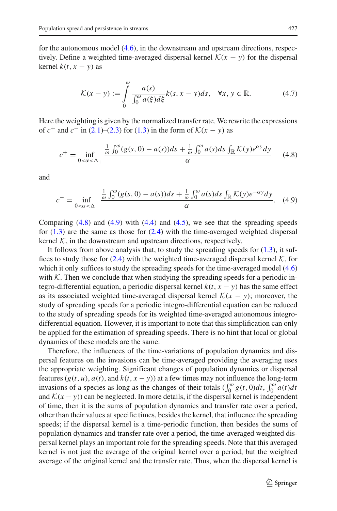for the autonomous model [\(4.6\)](#page-23-1), in the downstream and upstream directions, respectively. Define a weighted time-averaged dispersal kernel  $K(x - y)$  for the dispersal kernel  $k(t, x - y)$  as

$$
\mathcal{K}(x - y) := \int_{0}^{\omega} \frac{a(s)}{\int_{0}^{\omega} a(\xi) d\xi} k(s, x - y) ds, \quad \forall x, y \in \mathbb{R}.
$$
 (4.7)

<span id="page-24-2"></span>Here the weighting is given by the normalized transfer rate. We rewrite the expressions of  $c^+$  and  $c^-$  in [\(2.1\)](#page-7-3)–[\(2.3\)](#page-7-2) for [\(1.3\)](#page-4-0) in the form of  $K(x - y)$  as

$$
c^{+} = \inf_{0 < \alpha < \Delta_{+}} \frac{\frac{1}{\omega} \int_{0}^{\omega} (g(s, 0) - a(s)) ds + \frac{1}{\omega} \int_{0}^{\omega} a(s) ds \int_{\mathbb{R}} \mathcal{K}(y) e^{\alpha y} dy}{\alpha} \tag{4.8}
$$

<span id="page-24-1"></span><span id="page-24-0"></span>and

$$
c^{-} = \inf_{0 < \alpha < \Delta_{-}} \frac{\frac{1}{\omega} \int_{0}^{\omega} (g(s, 0) - a(s))ds + \frac{1}{\omega} \int_{0}^{\omega} a(s)ds \int_{\mathbb{R}} \mathcal{K}(y) e^{-\alpha y} dy}{\alpha}.
$$
 (4.9)

Comparing  $(4.8)$  and  $(4.9)$  with  $(4.4)$  and  $(4.5)$ , we see that the spreading speeds for  $(1.3)$  are the same as those for  $(2.4)$  with the time-averaged weighted dispersal kernel  $K$ , in the downstream and upstream directions, respectively.

It follows from above analysis that, to study the spreading speeds for  $(1.3)$ , it suffices to study those for  $(2.4)$  with the weighted time-averaged dispersal kernel  $K$ , for which it only suffices to study the spreading speeds for the time-averaged model  $(4.6)$ with  $K$ . Then we conclude that when studying the spreading speeds for a periodic integro-differential equation, a periodic dispersal kernel  $k(t, x - y)$  has the same effect as its associated weighted time-averaged dispersal kernel  $K(x - y)$ ; moreover, the study of spreading speeds for a periodic integro-differential equation can be reduced to the study of spreading speeds for its weighted time-averaged autonomous integrodifferential equation. However, it is important to note that this simplification can only be applied for the estimation of spreading speeds. There is no hint that local or global dynamics of these models are the same.

Therefore, the influences of the time-variations of population dynamics and dispersal features on the invasions can be time-averaged providing the averaging uses the appropriate weighting. Significant changes of population dynamics or dispersal features  $(g(t, u), a(t),$  and  $k(t, x - y)$  at a few times may not influence the long-term invasions of a species as long as the changes of their totals  $\left(\int_0^\omega g(t, 0)dt, \int_0^\omega a(t)dt\right)$ and  $K(x - y)$ ) can be neglected. In more details, if the dispersal kernel is independent of time, then it is the sums of population dynamics and transfer rate over a period, other than their values at specific times, besides the kernel, that influence the spreading speeds; if the dispersal kernel is a time-periodic function, then besides the sums of population dynamics and transfer rate over a period, the time-averaged weighted dispersal kernel plays an important role for the spreading speeds. Note that this averaged kernel is not just the average of the original kernel over a period, but the weighted average of the original kernel and the transfer rate. Thus, when the dispersal kernel is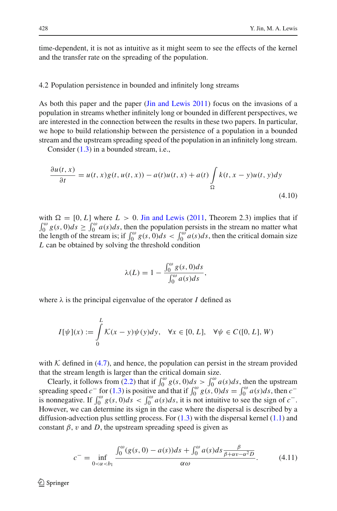time-dependent, it is not as intuitive as it might seem to see the effects of the kernel and the transfer rate on the spreading of the population.

#### 4.2 Population persistence in bounded and infinitely long streams

As both this paper and the paper [\(Jin and Lewis 2011](#page-35-7)) focus on the invasions of a population in streams whether infinitely long or bounded in different perspectives, we are interested in the connection between the results in these two papers. In particular, we hope to build relationship between the persistence of a population in a bounded stream and the upstream spreading speed of the population in an infinitely long stream.

Consider [\(1.3\)](#page-4-0) in a bounded stream, i.e.,

<span id="page-25-0"></span>
$$
\frac{\partial u(t, x)}{\partial t} = u(t, x)g(t, u(t, x)) - a(t)u(t, x) + a(t)\int_{\Omega} k(t, x - y)u(t, y)dy
$$
\n(4.10)

with  $\Omega = [0, L]$  where  $L > 0$ . [Jin and Lewis](#page-35-7) [\(2011](#page-35-7), Theorem 2.3) implies that if  $\int_0^{\omega} g(s, 0) ds \ge \int_0^{\omega} a(s) ds$ , then the population persists in the stream no matter what the length of the stream is; if  $\int_0^\omega g(s, 0)ds < \int_0^\omega a(s)ds$ , then the critical domain size *L* can be obtained by solving the threshold condition

$$
\lambda(L) = 1 - \frac{\int_0^{\omega} g(s, 0) ds}{\int_0^{\omega} a(s) ds},
$$

where  $\lambda$  is the principal eigenvalue of the operator *I* defined as

$$
I[\psi](x) := \int_{0}^{L} \mathcal{K}(x - y)\psi(y)dy, \quad \forall x \in [0, L], \quad \forall \psi \in C([0, L], W)
$$

with  $K$  defined in [\(4.7\)](#page-24-2), and hence, the population can persist in the stream provided that the stream length is larger than the critical domain size.

Clearly, it follows from [\(2.2\)](#page-7-1) that if  $\int_0^{\omega} g(s, 0) ds > \int_0^{\omega} a(s) ds$ , then the upstream spreading speed  $c^-$  for [\(1.3\)](#page-4-0) is positive and that if  $\int_0^\omega g(s, 0)ds = \int_0^\omega a(s)ds$ , then  $c^$ is nonnegative. If  $\int_0^\omega g(s, 0)ds < \int_0^\omega a(s)ds$ , it is not intuitive to see the sign of *c*<sup>−</sup>. However, we can determine its sign in the case where the dispersal is described by a diffusion-advection plus settling process. For  $(1.3)$  with the dispersal kernel  $(1.1)$  and constant  $\beta$ , v and D, the upstream spreading speed is given as

<span id="page-25-1"></span>
$$
c^{-} = \inf_{0 < \alpha < b_1} \frac{\int_0^{\omega} (g(s, 0) - a(s)) ds + \int_0^{\omega} a(s) ds \frac{\beta}{\beta + \alpha v - \alpha^2 D}}{\alpha \omega}.
$$
 (4.11)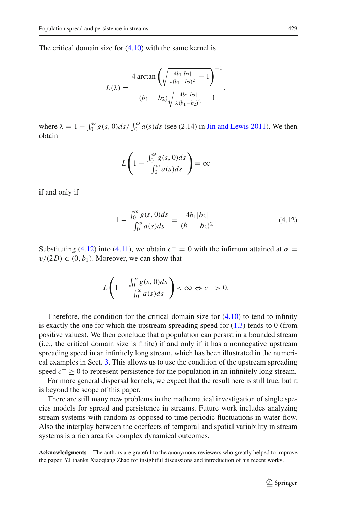The critical domain size for [\(4.10\)](#page-25-0) with the same kernel is

$$
L(\lambda) = \frac{4 \arctan\left(\sqrt{\frac{4b_1|b_2|}{\lambda(b_1-b_2)^2} - 1}\right)^{-1}}{(b_1 - b_2)\sqrt{\frac{4b_1|b_2|}{\lambda(b_1-b_2)^2} - 1}},
$$

where  $\lambda = 1 - \int_0^{\omega} g(s, 0) ds / \int_0^{\omega} a(s) ds$  (see (2.14) in [Jin and Lewis 2011](#page-35-7)). We then obtain

$$
L\left(1 - \frac{\int_0^{\omega} g(s, 0)ds}{\int_0^{\omega} a(s)ds}\right) = \infty
$$

<span id="page-26-0"></span>if and only if

$$
1 - \frac{\int_0^{\omega} g(s, 0)ds}{\int_0^{\omega} a(s)ds} = \frac{4b_1|b_2|}{(b_1 - b_2)^2}.
$$
 (4.12)

Substituting [\(4.12\)](#page-26-0) into [\(4.11\)](#page-25-1), we obtain  $c^{-} = 0$  with the infimum attained at  $\alpha =$  $v/(2D) \in (0, b_1)$ . Moreover, we can show that

$$
L\left(1-\frac{\int_0^\omega g(s,0)ds}{\int_0^\omega a(s)ds}\right)<\infty \Leftrightarrow c^->0.
$$

Therefore, the condition for the critical domain size for  $(4.10)$  to tend to infinity is exactly the one for which the upstream spreading speed for  $(1.3)$  tends to 0 (from positive values). We then conclude that a population can persist in a bounded stream (i.e., the critical domain size is finite) if and only if it has a nonnegative upstream spreading speed in an infinitely long stream, which has been illustrated in the numerical examples in Sect. [3.](#page-12-0) This allows us to use the condition of the upstream spreading speed *c*<sup>−</sup> ≥ 0 to represent persistence for the population in an infinitely long stream.

For more general dispersal kernels, we expect that the result here is still true, but it is beyond the scope of this paper.

There are still many new problems in the mathematical investigation of single species models for spread and persistence in streams. Future work includes analyzing stream systems with random as opposed to time periodic fluctuations in water flow. Also the interplay between the coeffects of temporal and spatial variability in stream systems is a rich area for complex dynamical outcomes.

**Acknowledgments** The authors are grateful to the anonymous reviewers who greatly helped to improve the paper. YJ thanks Xiaoqiang Zhao for insightful discussions and introduction of his recent works.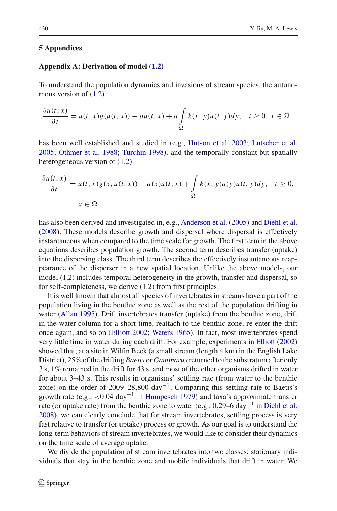## **5 Appendices**

## **Appendix A: Derivation of model [\(1.2\)](#page-3-1)**

To understand the population dynamics and invasions of stream species, the autonomous version of [\(1.2\)](#page-3-1)

$$
\frac{\partial u(t,x)}{\partial t} = u(t,x)g(u(t,x)) - au(t,x) + a \int_{\Omega} k(x,y)u(t,y)dy, \quad t \ge 0, \ x \in \Omega
$$

has been well established and studied in (e.g., [Hutson et al. 2003](#page-35-9); [Lutscher et al.](#page-36-1) [2005;](#page-36-1) [Othmer et al. 1988;](#page-36-11) [Turchin 1998\)](#page-36-12), and the temporally constant but spatially heterogeneous version of [\(1.2\)](#page-3-1)

$$
\frac{\partial u(t,x)}{\partial t} = u(t,x)g(x,u(t,x)) - a(x)u(t,x) + \int_{\Omega} k(x,y)a(y)u(t,y)dy, \quad t \ge 0,
$$
  

$$
x \in \Omega
$$

has also been derived and investigated in, e.g., [Anderson et al.](#page-35-10) [\(2005\)](#page-35-10) and [Diehl et al.](#page-35-11) [\(2008\)](#page-35-11). These models describe growth and dispersal where dispersal is effectively instantaneous when compared to the time scale for growth. The first term in the above equations describes population growth. The second term describes transfer (uptake) into the dispersing class. The third term describes the effectively instantaneous reappearance of the disperser in a new spatial location. Unlike the above models, our model (1.2) includes temporal heterogeneity in the growth, transfer and dispersal, so for self-completeness, we derive (1.2) from first principles.

It is well known that almost all species of invertebrates in streams have a part of the population living in the benthic zone as well as the rest of the population drifting in water [\(Allan 1995\)](#page-35-12). Drift invertebrates transfer (uptake) from the benthic zone, drift in the water column for a short time, reattach to the benthic zone, re-enter the drift once again, and so on [\(Elliott 2002](#page-35-13); [Waters 1965](#page-36-13)). In fact, most invertebrates spend very little time in water during each drift. For example, experiments in [Elliott](#page-35-13) [\(2002\)](#page-35-13) showed that, at a site in Wilfin Beck (a small stream (length 4 km) in the English Lake District), 25% of the drifting *Baetis* or *Gammarus*returned to the substratum after only 3 s, 1% remained in the drift for 43 s, and most of the other organisms drifted in water for about 3–43 s. This results in organisms' settling rate (from water to the benthic zone) on the order of 2009–28,800 day<sup>-1</sup>. Comparing this settling rate to Baetis's growth rate (e.g.,  $\langle 0.04 \text{ day}^{-1} \rangle$  in [Humpesch 1979\)](#page-35-14) and taxa's approximate transfer rate (or uptake rate) from the benthic zone to water (e.g., 0.29–6 day<sup>-1</sup> in [Diehl et al.](#page-35-11) [2008\)](#page-35-11), we can clearly conclude that for stream invertebrates, settling process is very fast relative to transfer (or uptake) process or growth. As our goal is to understand the long-term behaviors of stream invertebrates, we would like to consider their dynamics on the time scale of average uptake.

We divide the population of stream invertebrates into two classes: stationary individuals that stay in the benthic zone and mobile individuals that drift in water. We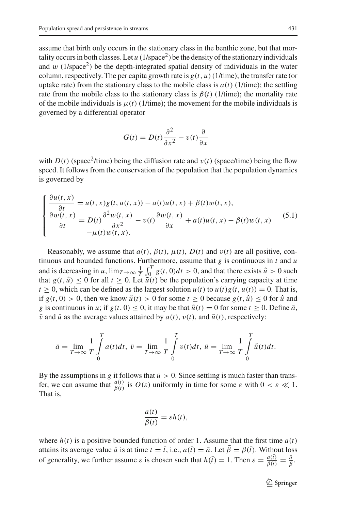assume that birth only occurs in the stationary class in the benthic zone, but that mortality occurs in both classes. Let  $u(1/\text{space}^2)$  be the density of the stationary individuals and w  $(1/\text{space}^2)$  be the depth-integrated spatial density of individuals in the water column, respectively. The per capita growth rate is  $g(t, u)$  (1/time); the transfer rate (or uptake rate) from the stationary class to the mobile class is  $a(t)$  (1/time); the settling rate from the mobile class to the stationary class is  $\beta(t)$  (1/time); the mortality rate of the mobile individuals is  $\mu(t)$  (1/time); the movement for the mobile individuals is governed by a differential operator

$$
G(t) = D(t)\frac{\partial^2}{\partial x^2} - v(t)\frac{\partial}{\partial x}
$$

with  $D(t)$  (space<sup>2</sup>/time) being the diffusion rate and  $v(t)$  (space/time) being the flow speed. It follows from the conservation of the population that the population dynamics is governed by

<span id="page-28-0"></span>
$$
\begin{cases}\n\frac{\partial u(t,x)}{\partial t} = u(t,x)g(t,u(t,x)) - a(t)u(t,x) + \beta(t)w(t,x), \\
\frac{\partial w(t,x)}{\partial t} = D(t)\frac{\partial^2 w(t,x)}{\partial x^2} - v(t)\frac{\partial w(t,x)}{\partial x} + a(t)u(t,x) - \beta(t)w(t,x) \\
-\mu(t)w(t,x).\n\end{cases}
$$
\n(5.1)

Reasonably, we assume that  $a(t)$ ,  $\beta(t)$ ,  $\mu(t)$ ,  $D(t)$  and  $v(t)$  are all positive, continuous and bounded functions. Furthermore, assume that *g* is continuous in *t* and *u* and is decreasing in *u*,  $\lim_{T\to\infty} \frac{1}{T} \int_0^T g(t, 0) dt > 0$ , and that there exists  $\hat{u} > 0$  such that  $g(t, \hat{u}) \le 0$  for all  $t \ge 0$ . Let  $\tilde{u}(t)$  be the population's carrying capacity at time  $t \geq 0$ , which can be defined as the largest solution  $u(t)$  to  $u(t)g(t, u(t)) = 0$ . That is, if  $g(t, 0) > 0$ , then we know  $\tilde{u}(t) > 0$  for some  $t \ge 0$  because  $g(t, \hat{u}) \le 0$  for  $\hat{u}$  and *g* is continuous in *u*; if  $g(t, 0) \le 0$ , it may be that  $\tilde{u}(t) = 0$  for some  $t > 0$ . Define  $\bar{a}$ ,  $\bar{v}$  and  $\bar{u}$  as the average values attained by  $a(t)$ ,  $v(t)$ , and  $\tilde{u}(t)$ , respectively:

$$
\bar{a} = \lim_{T \to \infty} \frac{1}{T} \int_{0}^{T} a(t)dt, \ \bar{v} = \lim_{T \to \infty} \frac{1}{T} \int_{0}^{T} v(t)dt, \ \bar{u} = \lim_{T \to \infty} \frac{1}{T} \int_{0}^{T} \tilde{u}(t)dt.
$$

By the assumptions in *g* it follows that  $\bar{u} > 0$ . Since settling is much faster than transfer, we can assume that  $\frac{a(t)}{\beta(t)}$  is  $O(\varepsilon)$  uniformly in time for some  $\varepsilon$  with  $0 < \varepsilon \ll 1$ . That is,

$$
\frac{a(t)}{\beta(t)} = \varepsilon h(t),
$$

where  $h(t)$  is a positive bounded function of order 1. Assume that the first time  $a(t)$ attains its average value  $\bar{a}$  is at time  $t = \bar{t}$ , i.e.,  $a(\bar{t}) = \bar{a}$ . Let  $\bar{\beta} = \beta(\bar{t})$ . Without loss of generality, we further assume  $\varepsilon$  is chosen such that  $h(\bar{t}) = 1$ . Then  $\varepsilon = \frac{a(\bar{t})}{\beta(\bar{t})}$  $\frac{a(\bar{t})}{\beta(\bar{t})} = \frac{\bar{a}}{\bar{\beta}}.$ 

<sup>2</sup> Springer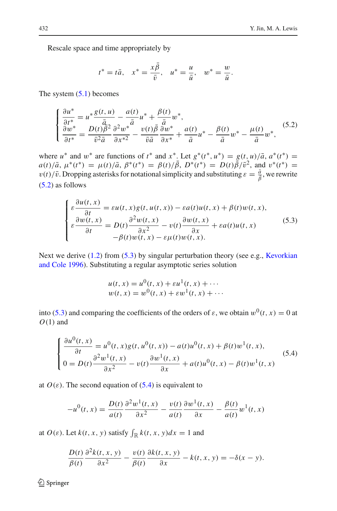Rescale space and time appropriately by

$$
t^* = t\overline{a}
$$
,  $x^* = \frac{x\overline{\beta}}{\overline{v}}$ ,  $u^* = \frac{u}{\overline{u}}$ ,  $w^* = \frac{w}{\overline{u}}$ .

The system  $(5.1)$  becomes

$$
\begin{cases} \frac{\partial u^*}{\partial t^*} = u^* \frac{g(t, u)}{\bar{a}} - \frac{a(t)}{\bar{a}} u^* + \frac{\beta(t)}{\bar{a}} w^*,\\ \frac{\partial w^*}{\partial t^*} = \frac{D(t) \beta^2}{\bar{v}^2 \bar{a}} \frac{\partial^2 w^*}{\partial x^{*2}} - \frac{v(t) \bar{\beta}}{\bar{v} \bar{a}} \frac{\partial w^*}{\partial x^*} + \frac{a(t)}{\bar{a}} u^* - \frac{\beta(t)}{\bar{a}} w^* - \frac{\mu(t)}{\bar{a}} w^*, \end{cases} \tag{5.2}
$$

<span id="page-29-0"></span>where  $u^*$  and  $w^*$  are functions of  $t^*$  and  $x^*$ . Let  $g^*(t^*, u^*) = g(t, u)/\bar{a}$ ,  $a^*(t^*) =$  $a(t)/\bar{a}$ ,  $\mu^*(t^*) = \mu(t)/\bar{a}$ ,  $\beta^*(t^*) = \beta(t)/\bar{\beta}$ ,  $D^*(t^*) = D(t)\bar{\beta}/\bar{v}^2$ , and  $v^*(t^*) =$  $v(t)/\bar{v}$ . Dropping asterisks for notational simplicity and substituting  $\varepsilon = \frac{\bar{a}}{\beta}$ , we rewrite [\(5.2\)](#page-29-0) as follows

$$
\begin{cases}\n\varepsilon \frac{\partial u(t,x)}{\partial t} = \varepsilon u(t,x)g(t,u(t,x)) - \varepsilon a(t)u(t,x) + \beta(t)w(t,x), \\
\varepsilon \frac{\partial w(t,x)}{\partial t} = D(t) \frac{\partial^2 w(t,x)}{\partial x^2} - v(t) \frac{\partial w(t,x)}{\partial x} + \varepsilon a(t)u(t,x) \\
-\beta(t)w(t,x) - \varepsilon \mu(t)w(t,x).\n\end{cases} (5.3)
$$

<span id="page-29-1"></span>Next we [derive](#page-35-15) [\(1.2\)](#page-3-1) [from](#page-35-15) [\(5.3\)](#page-29-1) [by](#page-35-15) [singular](#page-35-15) [perturbation](#page-35-15) [theory](#page-35-15) [\(see](#page-35-15) [e.g.,](#page-35-15) Kevorkian and Cole [1996\)](#page-35-15). Substituting a regular asymptotic series solution

$$
u(t, x) = u0(t, x) + \varepsilon u1(t, x) + \cdots
$$
  
\n
$$
w(t, x) = w0(t, x) + \varepsilon w1(t, x) + \cdots
$$

into [\(5.3\)](#page-29-1) and comparing the coefficients of the orders of  $\varepsilon$ , we obtain  $w^0(t, x) = 0$  at *O*(1) and

$$
\begin{cases} \frac{\partial u^{0}(t,x)}{\partial t} = u^{0}(t,x)g(t,u^{0}(t,x)) - a(t)u^{0}(t,x) + \beta(t)w^{1}(t,x), \\ 0 = D(t)\frac{\partial^{2}w^{1}(t,x)}{\partial x^{2}} - v(t)\frac{\partial w^{1}(t,x)}{\partial x} + a(t)u^{0}(t,x) - \beta(t)w^{1}(t,x) \end{cases}
$$
(5.4)

<span id="page-29-2"></span>at  $O(\varepsilon)$ . The second equation of [\(5.4\)](#page-29-2) is equivalent to

$$
-u^{0}(t,x) = \frac{D(t)}{a(t)} \frac{\partial^{2} w^{1}(t,x)}{\partial x^{2}} - \frac{v(t)}{a(t)} \frac{\partial w^{1}(t,x)}{\partial x} - \frac{\beta(t)}{a(t)} w^{1}(t,x)
$$

at  $O(\varepsilon)$ . Let  $k(t, x, y)$  satisfy  $\int_{\mathbb{R}} k(t, x, y) dx = 1$  and

$$
\frac{D(t)}{\beta(t)} \frac{\partial^2 k(t, x, y)}{\partial x^2} - \frac{v(t)}{\beta(t)} \frac{\partial k(t, x, y)}{\partial x} - k(t, x, y) = -\delta(x - y).
$$

 $\bigcircled{2}$  Springer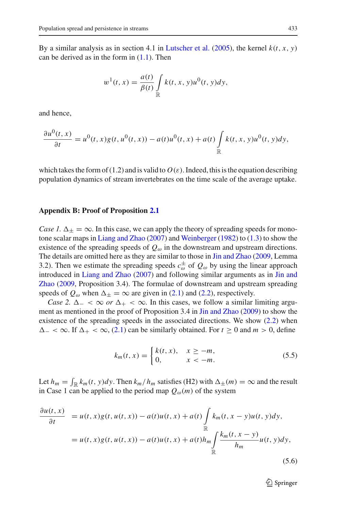By a similar analysis as in section 4.1 in [Lutscher et al.](#page-36-1) [\(2005\)](#page-36-1), the kernel  $k(t, x, y)$ can be derived as in the form in  $(1.1)$ . Then

$$
w^{1}(t,x) = \frac{a(t)}{\beta(t)} \int\limits_{\mathbb{R}} k(t,x,y)u^{0}(t,y)dy,
$$

and hence,

$$
\frac{\partial u^0(t,x)}{\partial t} = u^0(t,x)g(t,u^0(t,x)) - a(t)u^0(t,x) + a(t)\int\limits_{\mathbb{R}} k(t,x,y)u^0(t,y)dy,
$$

which takes the form of  $(1.2)$  and is valid to  $O(\varepsilon)$ . Indeed, this is the equation describing population dynamics of stream invertebrates on the time scale of the average uptake.

#### **Appendix B: Proof of Proposition [2.1](#page-7-4)**

*Case 1.*  $\Delta_{\pm} = \infty$ . In this case, we can apply the theory of spreading speeds for monotone scalar maps in [Liang and Zhao](#page-35-5) [\(2007\)](#page-35-5) and [Weinberger](#page-36-7) [\(1982\)](#page-36-7) to [\(1.3\)](#page-4-0) to show the existence of the spreading speeds of  $Q_{\omega}$  in the downstream and upstream directions. The details are omitted here as they are similar to those in [Jin and Zhao](#page-35-2) [\(2009](#page-35-2), Lemma 3.2). Then we estimate the spreading speeds  $c_{\omega}^{\pm}$  of  $Q_{\omega}$  by using the linear approach introduced in [Liang and Zhao](#page-35-5) [\(2007](#page-35-5)[\)](#page-35-2) [and](#page-35-2) [following](#page-35-2) [similar](#page-35-2) [arguments](#page-35-2) [as](#page-35-2) [in](#page-35-2) Jin and Zhao [\(2009](#page-35-2), Proposition 3.4). The formulae of downstream and upstream spreading speeds of  $Q_{\omega}$  when  $\Delta_{+} = \infty$  are given in [\(2.1\)](#page-7-3) and [\(2.2\)](#page-7-1), respectively.

*Case 2.*  $\Delta_{-} < \infty$  *or*  $\Delta_{+} < \infty$ . In this cases, we follow a similar limiting argument as mentioned in the proof of Proposition 3.4 in [Jin and Zhao](#page-35-2) [\(2009](#page-35-2)) to show the existence of the spreading speeds in the associated directions. We show [\(2.2\)](#page-7-1) when  $\Delta_- < \infty$ . If  $\Delta_+ < \infty$ , [\(2.1\)](#page-7-3) can be similarly obtained. For  $t \ge 0$  and  $m > 0$ , define

$$
k_m(t, x) = \begin{cases} k(t, x), & x \ge -m, \\ 0, & x < -m. \end{cases}
$$
 (5.5)

<span id="page-30-0"></span>Let  $h_m = \int_{\mathbb{R}} k_m(t, y) dy$ . Then  $k_m/h_m$  satisfies (H2) with  $\Delta_{\pm}(m) = \infty$  and the result in Case 1 can be applied to the period map  $Q_{\omega}(m)$  of the system

<span id="page-30-1"></span>
$$
\frac{\partial u(t, x)}{\partial t} = u(t, x)g(t, u(t, x)) - a(t)u(t, x) + a(t) \int_{\mathbb{R}} k_m(t, x - y)u(t, y)dy,
$$
  
=  $u(t, x)g(t, u(t, x)) - a(t)u(t, x) + a(t)h_m \int_{\mathbb{R}} \frac{k_m(t, x - y)}{h_m}u(t, y)dy,$  (5.6)

<sup>2</sup> Springer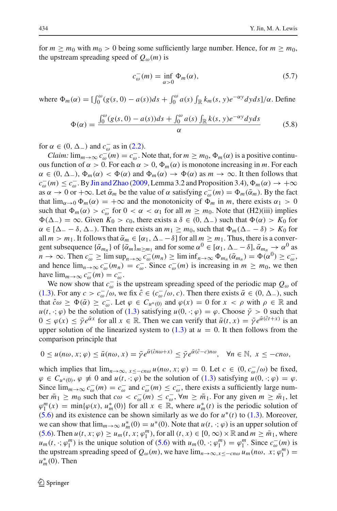for  $m \ge m_0$  with  $m_0 > 0$  being some sufficiently large number. Hence, for  $m \ge m_0$ , the upstream spreading speed of  $Q_{\omega}(m)$  is

$$
c_{\omega}^-(m) = \inf_{\alpha > 0} \Phi_m(\alpha),\tag{5.7}
$$

where  $\Phi_m(\alpha) = \left[\int_0^{\omega} (g(s, 0) - a(s))ds + \int_0^{\omega} a(s) \int_{\mathbb{R}} k_m(s, y) e^{-\alpha y} dy ds\right] / \alpha$ . Define

$$
\Phi(\alpha) = \frac{\int_0^{\omega} (g(s, 0) - a(s))ds + \int_0^{\omega} a(s) \int_{\mathbb{R}} k(s, y)e^{-\alpha y}dyds}{\alpha}
$$
(5.8)

for  $\alpha \in (0, \Delta_-)$  and  $c_{\omega}^-$  as in [\(2.2\)](#page-7-1).

*Claim:*  $\lim_{m\to\infty} c_{\omega}^-(m) = c_{\omega}^-\text{.}$  Note that, for  $m \geq m_0$ ,  $\Phi_m(\alpha)$  is a positive continuous function of  $\alpha > 0$ . For each  $\alpha > 0$ ,  $\Phi_m(\alpha)$  is monotone increasing in *m*. For each  $\alpha \in (0, \Delta_-), \Phi_m(\alpha) < \Phi(\alpha)$  and  $\Phi_m(\alpha) \to \Phi(\alpha)$  as  $m \to \infty$ . It then follows that  $c_{\omega}^-(m) \leq c_{\omega}^-(B)$  [Jin and Zhao](#page-35-2) [\(2009,](#page-35-2) Lemma 3.2 and Proposition 3.4),  $\Phi_m(\alpha) \to +\infty$ as  $\alpha \to 0$  or  $+\infty$ . Let  $\bar{\alpha}_m$  be the value of  $\alpha$  satisfying  $c_\omega^-(m) = \Phi_m(\bar{\alpha}_m)$ . By the fact that  $\lim_{\alpha \to 0} \Phi_m(\alpha) = +\infty$  and the monotonicity of  $\Phi_m$  in *m*, there exists  $\alpha_1 > 0$ such that  $\Phi_m(\alpha) > c_\omega^-$  for  $0 < \alpha < \alpha_1$  for all  $m \ge m_0$ . Note that (H2)(iii) implies  $\Phi(\Delta_-) = \infty$ . Given  $K_0 > c_0$ , there exists a  $\delta \in (0, \Delta_-)$  such that  $\Phi(\alpha) > K_0$  for  $\alpha \in [\Delta_- - \delta, \Delta_-)$ . Then there exists an  $m_1 \geq m_0$ , such that  $\Phi_m(\Delta_- - \delta) > K_0$  for all  $m > m_1$ . It follows that  $\bar{\alpha}_m \in [\alpha_1, \Delta_--\delta]$  for all  $m \ge m_1$ . Thus, there is a convergent subsequence  $\{\bar{\alpha}_{m_n}\}$  of  $\{\bar{\alpha}_m\}_{m \geq m_1}$  and for some  $\alpha^0 \in [\alpha_1, \Delta - \delta]$ ,  $\bar{\alpha}_{m_n} \to \alpha^0$  as  $n \to \infty$ . Then  $c_{\omega}^- \ge \limsup_{n \to \infty} c_{\omega}^-(m_n) \ge \liminf_{n \to \infty} \Phi_{m_n}(\bar{\alpha}_{m_n}) = \Phi(\alpha^0) \ge c_{\omega}^-,$ and hence  $\lim_{n\to\infty} c_{\omega}^-(m_n) = c_{\omega}^-$ . Since  $c_{\omega}^-(m)$  is increasing in  $m \ge m_0$ , we then have  $\lim_{m\to\infty} c_\omega^-(m) = c_\omega^-$ .

We now show that  $c_{\omega}^-$  is the upstream spreading speed of the periodic map  $Q_{\omega}$  of [\(1.3\)](#page-4-0). For any  $c > c_{\omega}^-/\omega$ , we fix  $\hat{c} \in (c_{\omega}^-/\omega, c)$ . Then there exists  $\bar{\alpha} \in (0, \Delta_-)$ , such that  $\hat{c}\omega \geq \Phi(\bar{\alpha}) \geq \bar{c}_{\omega}^-$ . Let  $\varphi \in C_{\mu^*(0)}$  and  $\varphi(x) = 0$  for  $x < \rho$  with  $\rho \in \mathbb{R}$  and  $u(t, \cdot; \varphi)$  be the solution of [\(1.3\)](#page-4-0) satisfying  $u(0, \cdot; \varphi) = \varphi$ . Choose  $\bar{\gamma} > 0$  such that  $0 \le \varphi(x) \le \bar{\gamma} e^{\bar{\alpha}x}$  for all  $x \in \mathbb{R}$ . Then we can verify that  $\bar{u}(t, x) = \bar{\gamma} e^{\bar{\alpha}(\hat{c}t + x)}$  is an upper solution of the linearized system to  $(1.3)$  at  $u = 0$ . It then follows from the comparison principle that

$$
0 \le u(n\omega, x; \varphi) \le \bar{u}(n\omega, x) = \bar{\gamma}e^{\bar{\alpha}(\hat{c}n\omega + x)} \le \bar{\gamma}e^{\bar{\alpha}(\hat{c}-c)n\omega}, \quad \forall n \in \mathbb{N}, \ x \le -cn\omega,
$$

which implies that  $\lim_{n\to\infty} x \leq -cn\omega u$  (*n*ω, *x*;  $\varphi$ ) = 0. Let  $c \in (0, c_{\omega}^-/\omega)$  be fixed,  $\varphi \in C_{u^*(0)}, \varphi \neq 0$  and  $u(t, \cdot; \varphi)$  be the solution of [\(1.3\)](#page-4-0) satisfying  $u(0, \cdot; \varphi) = \varphi$ . Since  $\lim_{m\to\infty} c_\omega^-(m) = c_\omega^-$  and  $c_\omega^-(m) \leq c_\omega^-$ , there exists a sufficiently large number  $\bar{m}_1 \ge m_0$  such that  $c\omega < c_{\omega}^-(m) \le c_{\omega}^-, \forall m \ge \bar{m}_1$ . For any given  $m \ge \bar{m}_1$ , let  $\varphi_1^m(x) = \min{\varphi(x), u_m^*(0)}$  for all  $x \in \mathbb{R}$ , where  $u_m^*(t)$  is the periodic solution of [\(5.6\)](#page-30-1) and its existence can be shown similarly as we do for  $u^*(t)$  to [\(1.3\)](#page-4-0). Moreover, we can show that  $\lim_{m\to\infty} u_m^*(0) = u^*(0)$ . Note that  $u(t, \cdot; \varphi)$  is an upper solution of [\(5.6\)](#page-30-1). Then  $u(t, x; \varphi) \ge u_m(t, x; \varphi_1^m)$ , for all  $(t, x) \in [0, \infty) \times \mathbb{R}$  and  $m \ge \overline{m}_1$ , where  $u_m(t, \cdot; \varphi_1^m)$  is the unique solution of [\(5.6\)](#page-30-1) with  $u_m(0, \cdot; \varphi_1^m) = \varphi_1^m$ . Since  $c_{\omega}(m)$  is the upstream spreading speed of  $Q_{\omega}(m)$ , we have  $\lim_{n\to\infty, x\leq -cn\omega} u_m(n\omega, x; \varphi_1^m)$  $u_m^*(0)$ . Then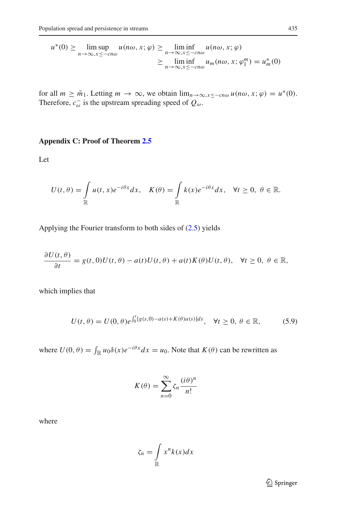$$
u^*(0) \ge \limsup_{n \to \infty, x \le -cn\omega} u(n\omega, x; \varphi) \ge \liminf_{n \to \infty, x \le -cn\omega} u(n\omega, x; \varphi)
$$
  
 
$$
\ge \liminf_{n \to \infty, x \le -cn\omega} u_m(n\omega, x; \varphi_1^m) = u_m^*(0)
$$

for all  $m \geq \overline{m}_1$ . Letting  $m \to \infty$ , we obtain  $\lim_{n \to \infty, x \leq -cn\omega} u(n\omega, x; \varphi) = u^*(0)$ . Therefore,  $c_{\omega}^-$  is the upstream spreading speed of  $Q_{\omega}$ .

## **Appendix C: Proof of Theorem [2.5](#page-10-1)**

Let

$$
U(t,\theta) = \int_{\mathbb{R}} u(t,x)e^{-i\theta x}dx, \quad K(\theta) = \int_{\mathbb{R}} k(x)e^{-i\theta x}dx, \quad \forall t \ge 0, \ \theta \in \mathbb{R}.
$$

Applying the Fourier transform to both sides of [\(2.5\)](#page-10-0) yields

$$
\frac{\partial U(t,\theta)}{\partial t}=g(t,0)U(t,\theta)-a(t)U(t,\theta)+a(t)K(\theta)U(t,\theta), \quad \forall t\geq 0, \ \theta\in\mathbb{R},
$$

which implies that

$$
U(t,\theta) = U(0,\theta)e^{\int_0^t [g(s,0) - a(s) + K(\theta)a(s)]ds}, \quad \forall t \ge 0, \ \theta \in \mathbb{R},
$$
 (5.9)

<span id="page-32-0"></span>where  $U(0, \theta) = \int_{\mathbb{R}} u_0 \delta(x) e^{-i\theta x} dx = u_0$ . Note that  $K(\theta)$  can be rewritten as

$$
K(\theta) = \sum_{n=0}^{\infty} \zeta_n \frac{(i\theta)^n}{n!}
$$

where

$$
\zeta_n = \int\limits_{\mathbb{R}} x^n k(x) dx
$$

<sup>2</sup> Springer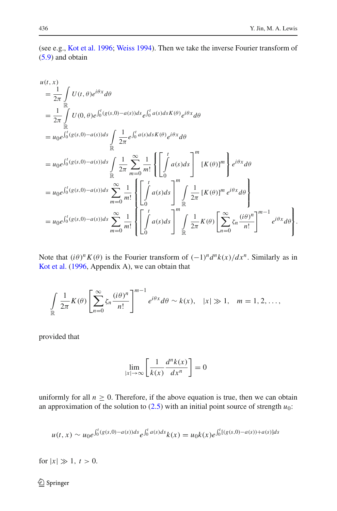(see e.g., [Kot et al. 1996;](#page-35-0) [Weiss 1994\)](#page-36-14). Then we take the inverse Fourier transform of [\(5.9\)](#page-32-0) and obtain

$$
u(t, x)
$$
\n
$$
= \frac{1}{2\pi} \int_{\mathbb{R}} U(t, \theta) e^{i\theta x} d\theta
$$
\n
$$
= \frac{1}{2\pi} \int_{\mathbb{R}} U(0, \theta) e^{\int_{0}^{t} (g(s, 0) - a(s)) ds} e^{\int_{0}^{t} a(s) ds K(\theta)} e^{i\theta x} d\theta
$$
\n
$$
= u_0 e^{\int_{0}^{t} (g(s, 0) - a(s)) ds} \int_{\mathbb{R}} \frac{1}{2\pi} e^{\int_{0}^{t} a(s) ds K(\theta)} e^{i\theta x} d\theta
$$
\n
$$
= u_0 e^{\int_{0}^{t} (g(s, 0) - a(s)) ds} \int_{\mathbb{R}} \frac{1}{2\pi} \sum_{m=0}^{\infty} \frac{1}{m!} \left\{ \left[ \int_{0}^{t} a(s) ds \right]^{m} [K(\theta)]^{m} \right\} e^{i\theta x} d\theta
$$
\n
$$
= u_0 e^{\int_{0}^{t} (g(s, 0) - a(s)) ds} \sum_{m=0}^{\infty} \frac{1}{m!} \left\{ \left[ \int_{0}^{t} a(s) ds \right]^{m} \int_{\mathbb{R}} \frac{1}{2\pi} [K(\theta)]^{m} e^{i\theta x} d\theta \right\}
$$
\n
$$
= u_0 e^{\int_{0}^{t} (g(s, 0) - a(s)) ds} \sum_{m=0}^{\infty} \frac{1}{m!} \left\{ \left[ \int_{0}^{t} a(s) ds \right]^{m} \int_{\mathbb{R}} \frac{1}{2\pi} K(\theta) \left[ \sum_{n=0}^{\infty} \zeta_n \frac{(i\theta)^n}{n!} \right]^{m-1} e^{i\theta x} d\theta \right\}.
$$

Note that  $(i\theta)^n K(\theta)$  is the Fourier transform of  $(-1)^n d^n k(x)/dx^n$ . Similarly as in [Kot et al.](#page-35-0) [\(1996,](#page-35-0) Appendix A), we can obtain that

$$
\int\limits_{\mathbb{R}}\frac{1}{2\pi}K(\theta)\left[\sum\limits_{n=0}^{\infty}\zeta_{n}\frac{(i\theta)^{n}}{n!}\right]^{m-1}e^{i\theta x}d\theta\sim k(x),\quad |x|\gg1,\quad m=1,2,\ldots,
$$

provided that

$$
\lim_{|x| \to \infty} \left[ \frac{1}{k(x)} \frac{d^n k(x)}{dx^n} \right] = 0
$$

uniformly for all  $n \geq 0$ . Therefore, if the above equation is true, then we can obtain an approximation of the solution to  $(2.5)$  with an initial point source of strength  $u_0$ :

$$
u(t,x) \sim u_0 e^{\int_0^t (g(s,0) - a(s))ds} e^{\int_0^t a(s)ds} k(x) = u_0 k(x) e^{\int_0^t [(g(s,0) - a(s)) + a(s)]ds}
$$

for  $|x| \gg 1, t > 0$ .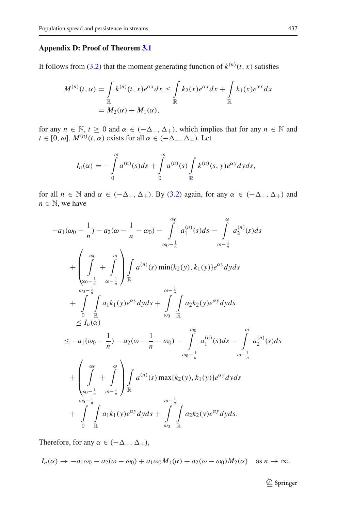## **Appendix D: Proof of Theorem [3.1](#page-13-2)**

It follows from [\(3.2\)](#page-12-2) that the moment generating function of  $k^{(n)}(t, x)$  satisfies

$$
M^{(n)}(t, \alpha) = \int_{\mathbb{R}} k^{(n)}(t, x) e^{\alpha x} dx \le \int_{\mathbb{R}} k_2(x) e^{\alpha x} dx + \int_{\mathbb{R}} k_1(x) e^{\alpha x} dx
$$
  
=  $M_2(\alpha) + M_1(\alpha)$ ,

for any  $n \in \mathbb{N}$ ,  $t \ge 0$  and  $\alpha \in (-\Delta_-, \Delta_+)$ , which implies that for any  $n \in \mathbb{N}$  and  $t \in [0, \omega]$ ,  $M^{(n)}(t, \alpha)$  exists for all  $\alpha \in (-\Delta_-, \Delta_+)$ . Let

$$
I_n(\alpha) = -\int\limits_0^{\omega} a^{(n)}(s)ds + \int\limits_0^{\omega} a^{(n)}(s) \int\limits_{\mathbb{R}} k^{(n)}(s, y) e^{\alpha y} dy ds,
$$

for all  $n \in \mathbb{N}$  and  $\alpha \in (-\Delta_-, \Delta_+)$ . By [\(3.2\)](#page-12-2) again, for any  $\alpha \in (-\Delta_-, \Delta_+)$  and  $n \in \mathbb{N}$ , we have

$$
-a_{1}(\omega_{0} - \frac{1}{n}) - a_{2}(\omega - \frac{1}{n} - \omega_{0}) - \int_{\omega_{0} - \frac{1}{n}}^{\omega_{0}} a_{1}^{(n)}(s) ds - \int_{\omega_{-} - \frac{1}{n}}^{\omega_{0}} a_{2}^{(n)}(s) ds
$$
  
+ 
$$
\left(\int_{\omega_{0} - \frac{1}{n}}^{\omega_{0} - \frac{1}{n}} \omega - \frac{1}{n}\right) \int_{\mathbb{R}} a^{(n)}(s) \min\{k_{2}(y), k_{1}(y)\} e^{\alpha y} dy ds
$$
  
+ 
$$
\int_{0}^{\omega_{0} - \frac{1}{n}} \int_{\mathbb{R}} a_{1}k_{1}(y) e^{\alpha y} dy ds + \int_{\omega_{0}}^{\omega - \frac{1}{n}} \int_{\mathbb{R}} a_{2}k_{2}(y) e^{\alpha y} dy ds
$$
  

$$
\leq I_{n}(\alpha)
$$
  

$$
\leq -a_{1}(\omega_{0} - \frac{1}{n}) - a_{2}(\omega - \frac{1}{n} - \omega_{0}) - \int_{\omega_{0} - \frac{1}{n}}^{\omega_{0}} a_{1}^{(n)}(s) ds - \int_{\omega_{0} - \frac{1}{n}}^{\omega_{0}} a_{2}^{(n)}(s) ds
$$
  
+ 
$$
\left(\int_{\omega_{0} - \frac{1}{n}}^{\omega_{0} - \frac{1}{n}} \omega - \frac{1}{n}\right) \int_{\mathbb{R}} a^{(n)}(s) \max\{k_{2}(y), k_{1}(y)\} e^{\alpha y} dy ds
$$
  
+ 
$$
\int_{0}^{\omega_{0} - \frac{1}{n}} \int_{\mathbb{R}} a_{1}k_{1}(y) e^{\alpha y} dy ds + \int_{\omega_{0}}^{\omega - \frac{1}{n}} \int_{\mathbb{R}} a_{2}k_{2}(y) e^{\alpha y} dy ds.
$$

Therefore, for any  $\alpha \in (-\Delta_-, \Delta_+),$ 

$$
I_n(\alpha) \to -a_1\omega_0 - a_2(\omega - \omega_0) + a_1\omega_0 M_1(\alpha) + a_2(\omega - \omega_0) M_2(\alpha)
$$
 as  $n \to \infty$ .

<sup>2</sup> Springer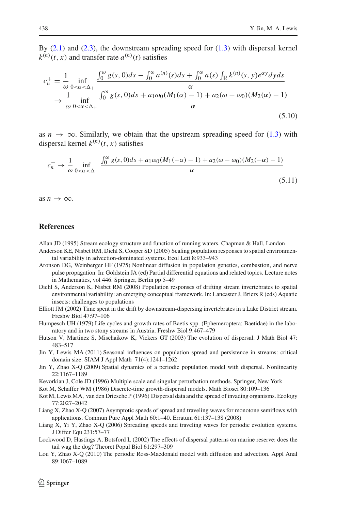(5.11)

By  $(2.1)$  and  $(2.3)$ , the downstream spreading speed for  $(1.3)$  with dispersal kernel  $k^{(n)}(t, x)$  and transfer rate  $a^{(n)}(t)$  satisfies

$$
c_n^+ = \frac{1}{\omega} \inf_{0 < \alpha < \Delta_+} \frac{\int_0^{\omega} g(s, 0) ds - \int_0^{\omega} a^{(n)}(s) ds + \int_0^{\omega} a(s) \int_{\mathbb{R}} k^{(n)}(s, y) e^{\alpha y} dy ds}{\alpha}
$$
  
\n
$$
\to \frac{1}{\omega} \inf_{0 < \alpha < \Delta_+} \frac{\int_0^{\omega} g(s, 0) ds + a_1 \omega_0 (M_1(\alpha) - 1) + a_2(\omega - \omega_0) (M_2(\alpha) - 1)}{\alpha}
$$
(5.10)

as  $n \to \infty$ . Similarly, we obtain that the upstream spreading speed for [\(1.3\)](#page-4-0) with dispersal kernel  $k^{(n)}(t, x)$  satisfies

$$
c_n^- \to \frac{1}{\omega} \inf_{0 < \alpha < \Delta_-} \frac{\int_0^{\omega} g(s, 0) ds + a_1 \omega_0 (M_1(-\alpha) - 1) + a_2 (\omega - \omega_0) (M_2(-\alpha) - 1)}{\alpha}
$$

as  $n \to \infty$ .

## **References**

<span id="page-35-12"></span>Allan JD (1995) Stream ecology structure and function of running waters. Chapman & Hall, London

- <span id="page-35-10"></span>Anderson KE, Nisbet RM, Diehl S, Cooper SD (2005) Scaling population responses to spatial environmental variability in advection-dominated systems. Ecol Lett 8:933–943
- <span id="page-35-3"></span>Aronson DG, Weinberger HF (1975) Nonlinear diffusion in population genetics, combustion, and nerve pulse propagation. In: Goldstein JA (ed) Partial differential equations and related topics. Lecture notes in Mathematics, vol 446. Springer, Berlin pp 5–49
- <span id="page-35-11"></span>Diehl S, Anderson K, Nisbet RM (2008) Population responses of drifting stream invertebrates to spatial environmental variability: an emerging conceptual framework. In: Lancaster J, Briers R (eds) Aquatic insects: challenges to populations
- <span id="page-35-13"></span>Elliott JM (2002) Time spent in the drift by downstream-dispersing invertebrates in a Lake District stream. Freshw Biol 47:97–106
- <span id="page-35-14"></span>Humpesch UH (1979) Life cycles and growth rates of Baetis spp. (Ephemeroptera: Baetidae) in the laboratory and in two stony streams in Austria. Freshw Biol 9:467–479
- <span id="page-35-9"></span>Hutson V, Martinez S, Mischaikow K, Vickers GT (2003) The evolution of dispersal. J Math Biol 47: 483–517
- <span id="page-35-7"></span>Jin Y, Lewis MA (2011) Seasonal influences on population spread and persistence in streams: critical domain size. SIAM J Appl Math 71(4):1241–1262
- <span id="page-35-2"></span>Jin Y, Zhao X-Q (2009) Spatial dynamics of a periodic population model with dispersal. Nonlinearity 22:1167–1189
- <span id="page-35-15"></span>Kevorkian J, Cole JD (1996) Multiple scale and singular perturbation methods. Springer, New York
- <span id="page-35-1"></span>Kot M, Schaffer WM (1986) Discrete-time growth-dispersal models. Math Biosci 80:109–136
- <span id="page-35-0"></span>Kot M, Lewis MA, van den Driesche P (1996) Dispersal data and the spread of invading organisms. Ecology 77:2027–2042
- <span id="page-35-5"></span>Liang X, Zhao X-Q (2007) Asymptotic speeds of spread and traveling waves for monotone semiflows with applications. Commun Pure Appl Math 60:1–40. Erratum 61:137–138 (2008)
- <span id="page-35-4"></span>Liang X, Yi Y, Zhao X-Q (2006) Spreading speeds and traveling waves for periodic evolution systems. J Differ Equ 231:57–77
- <span id="page-35-6"></span>Lockwood D, Hastings A, Botsford L (2002) The effects of dispersal patterns on marine reserve: does the tail wag the dog? Theoret Popul Biol 61:297–309
- <span id="page-35-8"></span>Lou Y, Zhao X-Q (2010) The periodic Ross-Macdonald model with diffusion and advection. Appl Anal 89:1067–1089